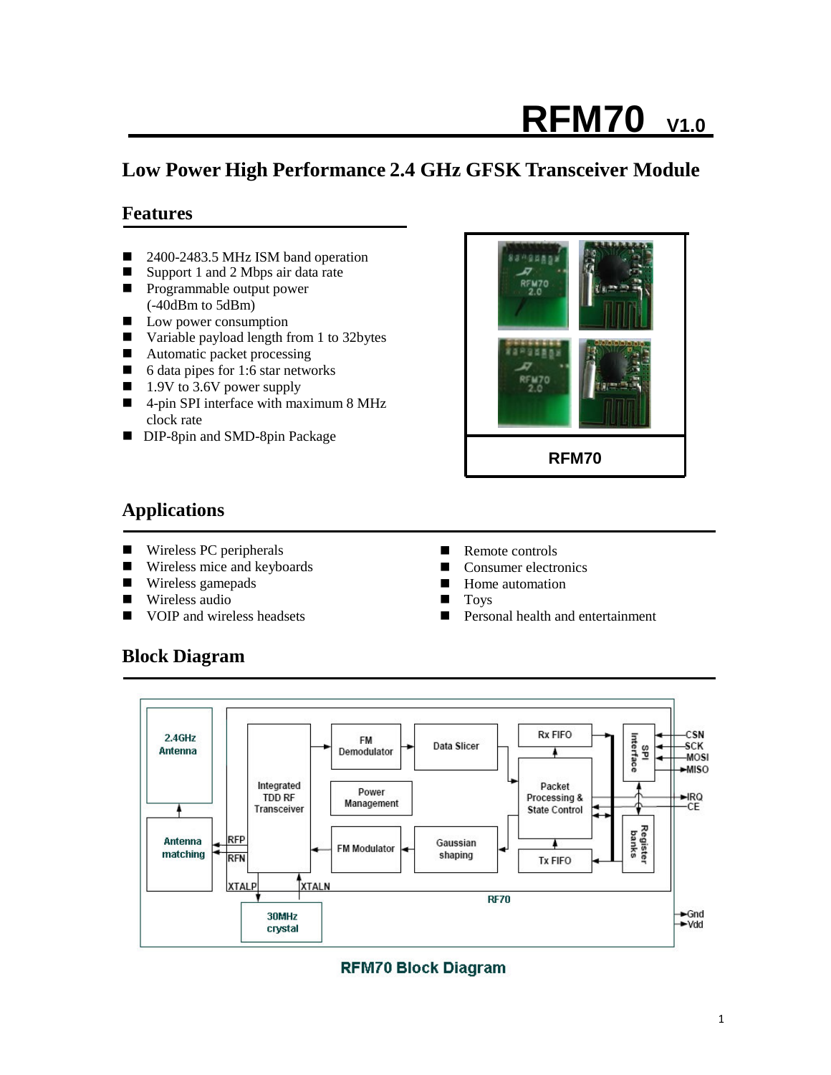# **RFM70 V1.0**

# **Low Power High Performance 2.4 GHz GFSK Transceiver Module**

## **Features**

- 2400-2483.5 MHz ISM band operation
- Support 1 and 2 Mbps air data rate **Programmable output power**
- (-40dBm to 5dBm)
- **Low power consumption**
- Variable payload length from 1 to 32bytes
- Automatic packet processing
- 6 data pipes for 1:6 star networks
- 1.9V to 3.6V power supply
- 4-pin SPI interface with maximum 8 MHz clock rate
- DIP-8pin and SMD-8pin Package



## **Applications**

- Wireless PC peripherals
- Wireless mice and keyboards
- **Wireless gamepads**
- Wireless audio
- VOIP and wireless headsets
- Remote controls
- Consumer electronics
- **Home** automation
- **Toys**
- **Personal health and entertainment**

## **Block Diagram**



## **RFM70 Block Diagram**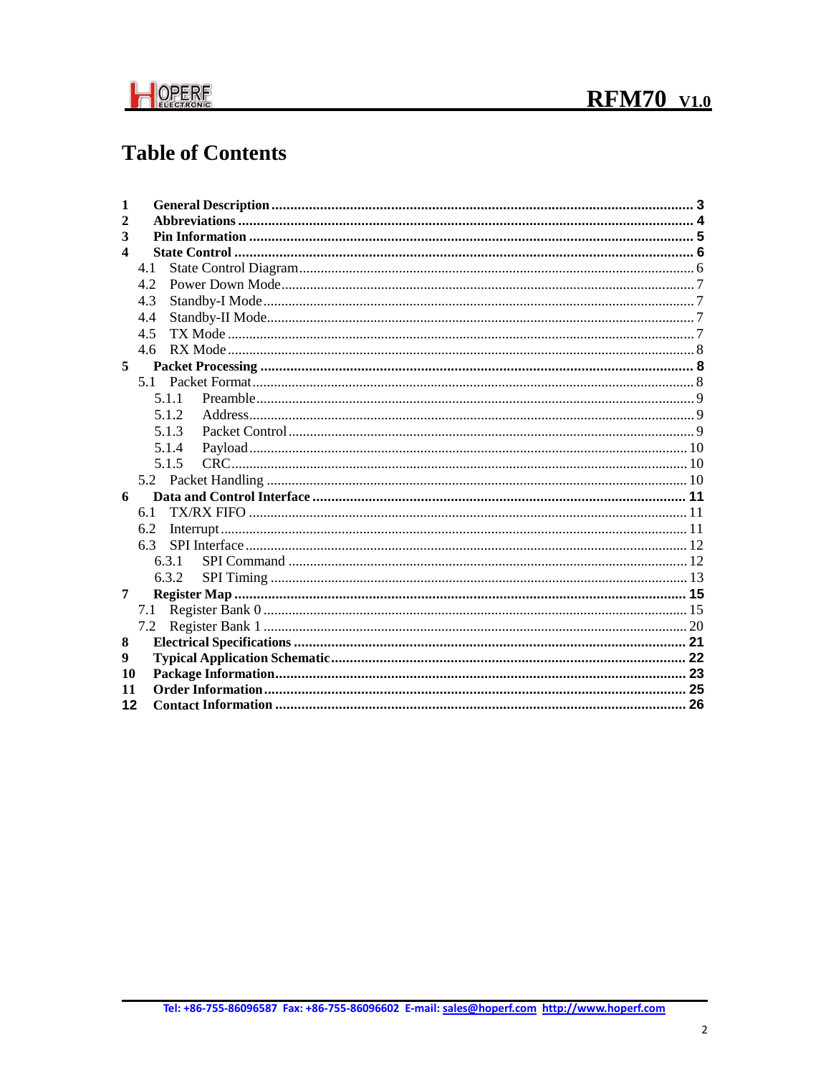

# **Table of Contents**

| 1            |            |  |
|--------------|------------|--|
| $\mathbf{2}$ |            |  |
| 3            |            |  |
| 4            |            |  |
|              | 4.1        |  |
|              | 42         |  |
|              | 4.3        |  |
|              | 4.4        |  |
|              | 4.5        |  |
|              | 4.6        |  |
| 5            |            |  |
|              | 51         |  |
|              | 5.1.1      |  |
|              | 5.1.2      |  |
|              | 5.1.3      |  |
|              | 5.1.4      |  |
|              | 5.1.5      |  |
|              |            |  |
| 6            |            |  |
|              | 6.1        |  |
|              | 6.2<br>6.3 |  |
|              | 6.3.1      |  |
|              | 6.3.2      |  |
| 7            |            |  |
|              | 7.1        |  |
|              | 7.2        |  |
| 8            |            |  |
| 9            |            |  |
| 10           |            |  |
| 11           |            |  |
| 12           |            |  |
|              |            |  |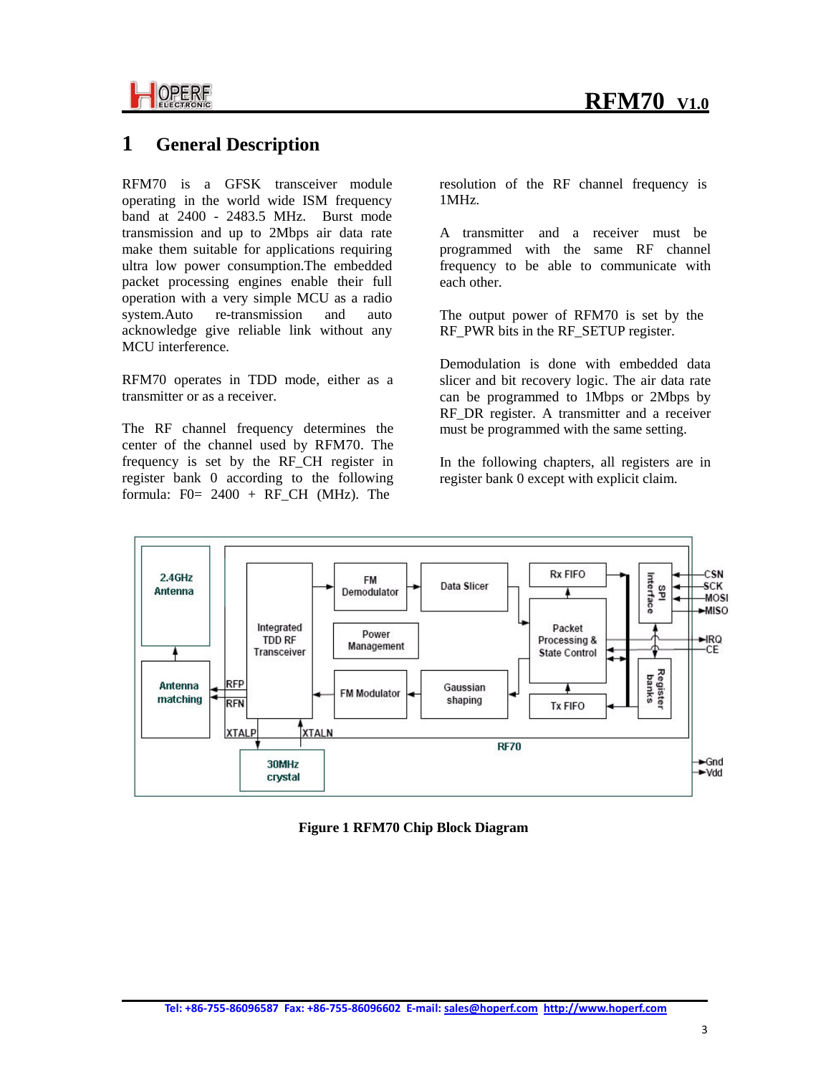

## **1 General Description**

RFM70 is a GFSK transceiver module operating in the world wide ISM frequency band at 2400 - 2483.5 MHz. Burst mode transmission and up to 2Mbps air data rate make them suitable for applications requiring ultra low power consumption.The embedded packet processing engines enable their full operation with a very simple MCU as a radio system.Auto re-transmission and auto acknowledge give reliable link without any MCU interference.

RFM70 operates in TDD mode, either as a transmitter or as a receiver.

The RF channel frequency determines the center of the channel used by RFM70. The frequency is set by the RF\_CH register in register bank 0 according to the following formula:  $F0 = 2400 + RFCH$  (MHz). The

resolution of the RF channel frequency is 1MHz.

A transmitter and a receiver must be programmed with the same RF channel frequency to be able to communicate with each other.

The output power of RFM70 is set by the RF\_PWR bits in the RF\_SETUP register.

Demodulation is done with embedded data slicer and bit recovery logic. The air data rate can be programmed to 1Mbps or 2Mbps by RF DR register. A transmitter and a receiver must be programmed with the same setting.

In the following chapters, all registers are in register bank 0 except with explicit claim.



**Figure 1 RFM70 Chip Block Diagram**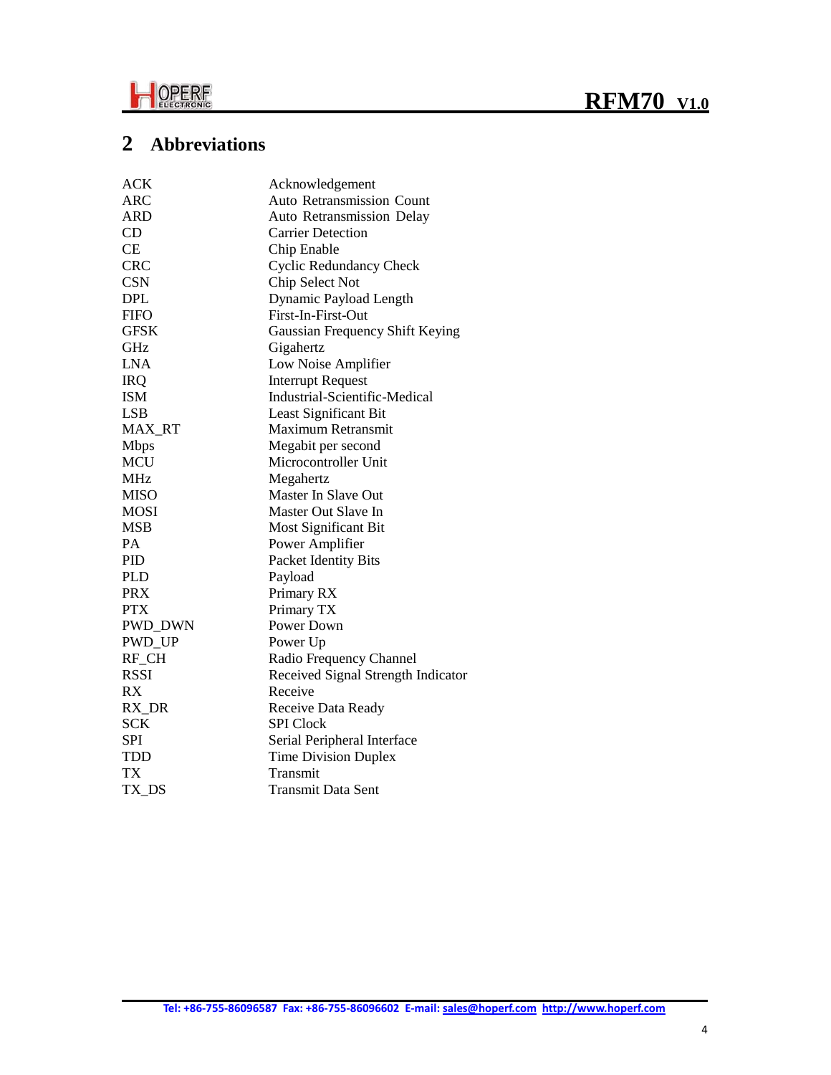



# **2 Abbreviations**

| <b>ACK</b>    | Acknowledgement                      |
|---------------|--------------------------------------|
| <b>ARC</b>    | Auto Retransmission Count            |
| ARD           | <b>Auto Retransmission Delay</b>     |
| CD            | <b>Carrier Detection</b>             |
| <b>CE</b>     | Chip Enable                          |
| <b>CRC</b>    | <b>Cyclic Redundancy Check</b>       |
| <b>CSN</b>    | Chip Select Not                      |
| <b>DPL</b>    | Dynamic Payload Length               |
| <b>FIFO</b>   | First-In-First-Out                   |
| <b>GFSK</b>   | Gaussian Frequency Shift Keying      |
| GHz           | Gigahertz                            |
| <b>LNA</b>    | Low Noise Amplifier                  |
| <b>IRQ</b>    | <b>Interrupt Request</b>             |
| <b>ISM</b>    | <b>Industrial-Scientific-Medical</b> |
| LSB           | Least Significant Bit                |
| MAX_RT        | Maximum Retransmit                   |
| <b>Mbps</b>   | Megabit per second                   |
| <b>MCU</b>    | Microcontroller Unit                 |
| <b>MHz</b>    | Megahertz                            |
| <b>MISO</b>   | Master In Slave Out                  |
| <b>MOSI</b>   | Master Out Slave In                  |
| <b>MSB</b>    | Most Significant Bit                 |
| PA            | Power Amplifier                      |
| PID           | Packet Identity Bits                 |
| <b>PLD</b>    | Payload                              |
| <b>PRX</b>    | Primary RX                           |
| <b>PTX</b>    | Primary TX                           |
| PWD_DWN       | Power Down                           |
| <b>PWD_UP</b> | Power Up                             |
| RF_CH         | Radio Frequency Channel              |
| <b>RSSI</b>   | Received Signal Strength Indicator   |
| RX            | Receive                              |
| RX DR         | Receive Data Ready                   |
| <b>SCK</b>    | <b>SPI</b> Clock                     |
| <b>SPI</b>    | Serial Peripheral Interface          |
| <b>TDD</b>    | <b>Time Division Duplex</b>          |
| TX            | Transmit                             |
| TX DS         | <b>Transmit Data Sent</b>            |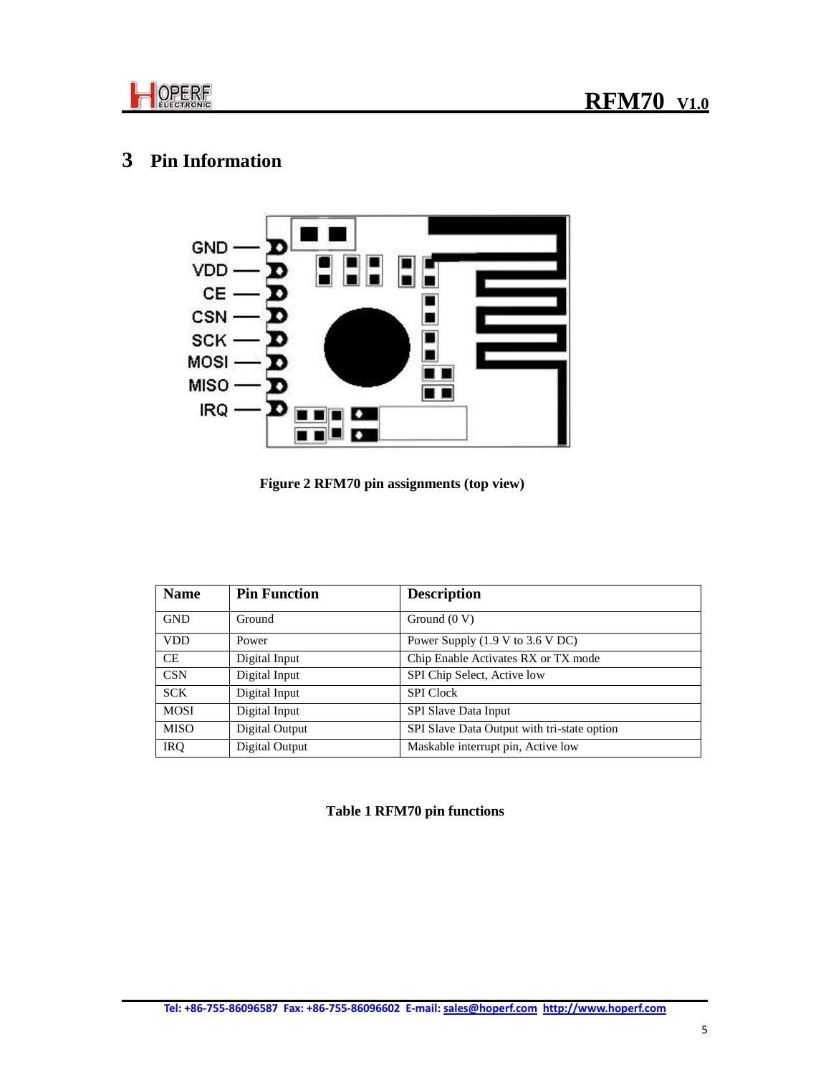

# **3 Pin Information**



**Figure 2 RFM70 pin assignments (top view)** 

| <b>Name</b> | <b>Pin Function</b> | <b>Description</b>                                  |
|-------------|---------------------|-----------------------------------------------------|
| <b>GND</b>  | Ground              | Ground $(0 V)$                                      |
| <b>VDD</b>  | Power               | Power Supply $(1.9 \text{ V to } 3.6 \text{ V DC})$ |
| <b>CE</b>   | Digital Input       | Chip Enable Activates RX or TX mode                 |
| <b>CSN</b>  | Digital Input       | SPI Chip Select, Active low                         |
| <b>SCK</b>  | Digital Input       | <b>SPI</b> Clock                                    |
| <b>MOSI</b> | Digital Input       | <b>SPI Slave Data Input</b>                         |
| <b>MISO</b> | Digital Output      | SPI Slave Data Output with tri-state option         |
| <b>IRQ</b>  | Digital Output      | Maskable interrupt pin, Active low                  |

#### **Table 1 RFM70 pin functions**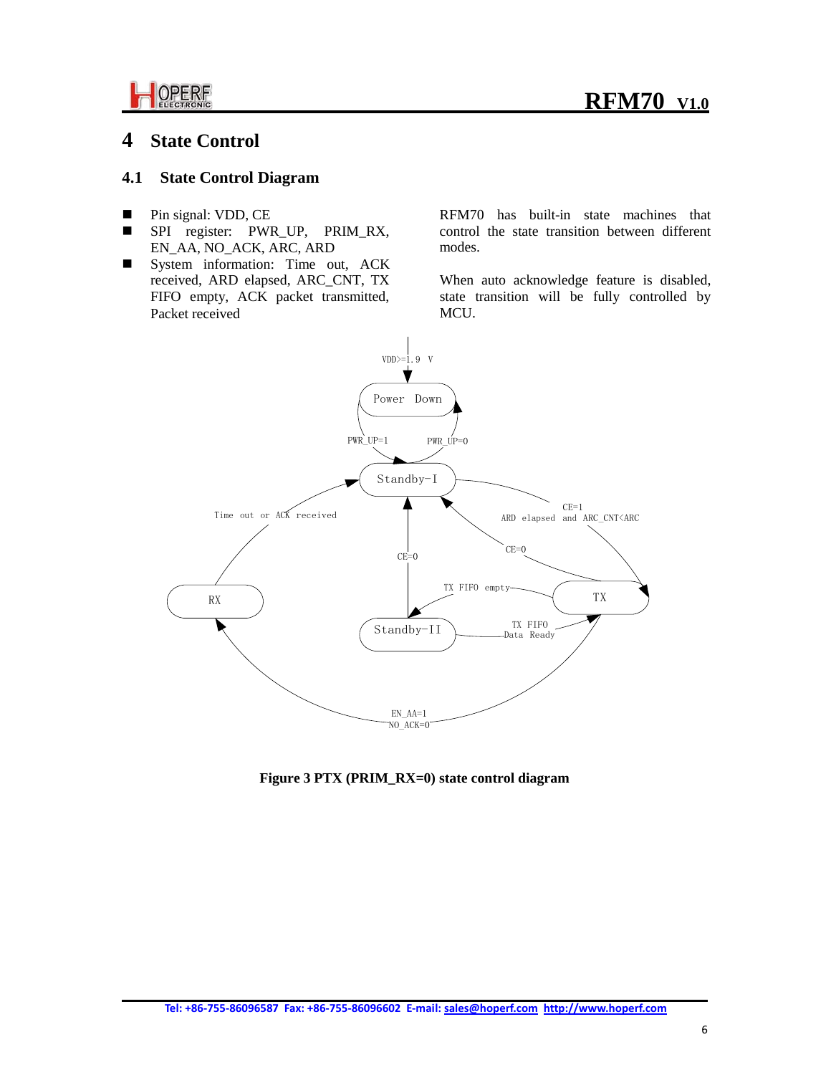



## **4 State Control**

#### **4.1 State Control Diagram**

- **Pin signal: VDD, CE**
- SPI register: PWR\_UP, PRIM\_RX, EN\_AA, NO\_ACK, ARC, ARD
- System information: Time out, ACK received, ARD elapsed, ARC\_CNT, TX FIFO empty, ACK packet transmitted, Packet received

RFM70 has built-in state machines that control the state transition between different modes.

When auto acknowledge feature is disabled, state transition will be fully controlled by MCU.



**Figure 3 PTX (PRIM\_RX=0) state control diagram**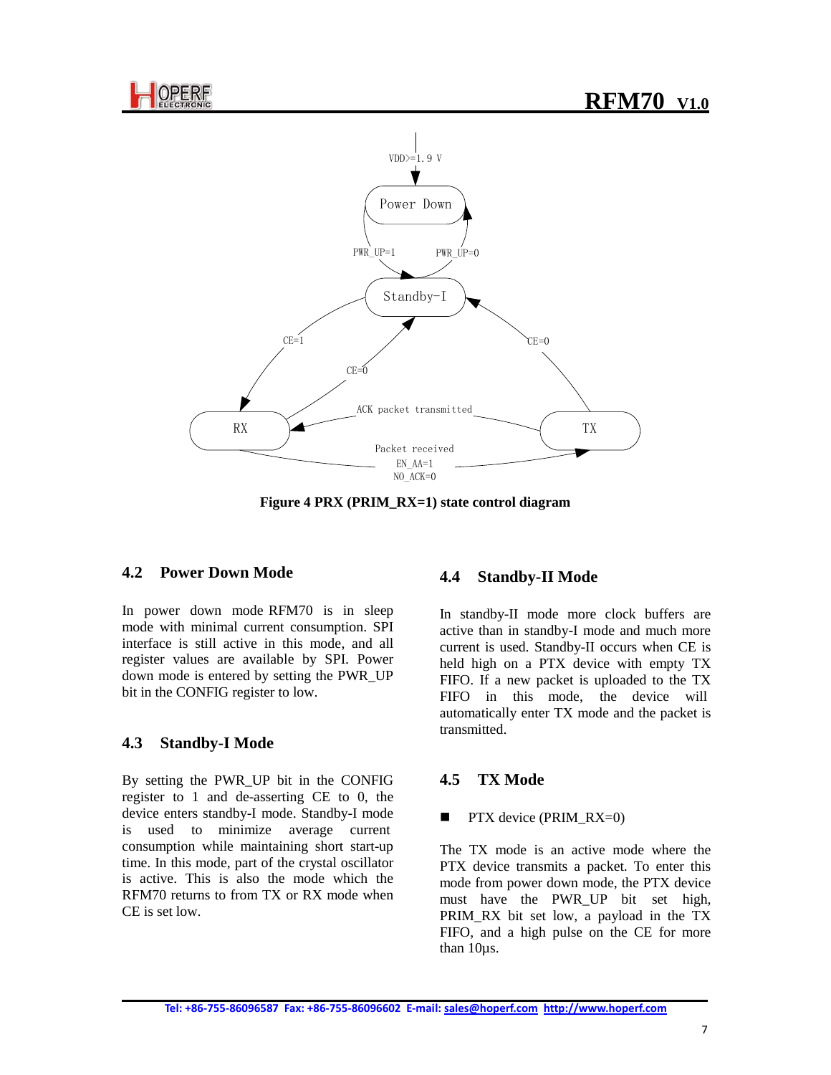



**Figure 4 PRX (PRIM\_RX=1) state control diagram**

#### **4.2 Power Down Mode**

In power down mode RFM70 is in sleep mode with minimal current consumption. SPI interface is still active in this mode, and all register values are available by SPI. Power down mode is entered by setting the PWR\_UP bit in the CONFIG register to low.

#### **4.3 Standby-I Mode**

By setting the PWR\_UP bit in the CONFIG register to 1 and de-asserting CE to 0, the device enters standby-I mode. Standby-I mode is used to minimize average current consumption while maintaining short start-up time. In this mode, part of the crystal oscillator is active. This is also the mode which the RFM70 returns to from TX or RX mode when CE is set low.

#### **4.4 Standby-II Mode**

In standby-II mode more clock buffers are active than in standby-I mode and much more current is used. Standby-II occurs when CE is held high on a PTX device with empty TX FIFO. If a new packet is uploaded to the TX FIFO in this mode, the device will automatically enter TX mode and the packet is transmitted.

#### **4.5 TX Mode**

#### **PTX** device (PRIM\_RX=0)

The TX mode is an active mode where the PTX device transmits a packet. To enter this mode from power down mode, the PTX device must have the PWR UP bit set high, PRIM\_RX bit set low, a payload in the TX FIFO, and a high pulse on the CE for more than 10µs.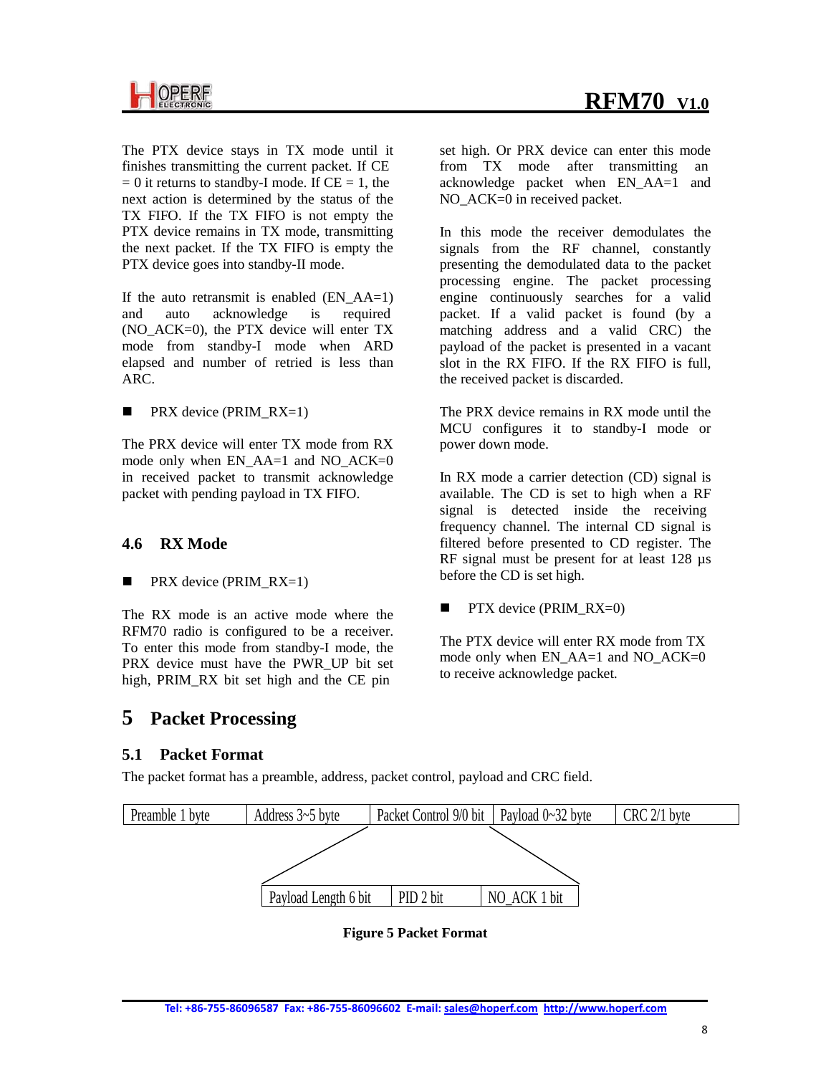The PTX device stays in TX mode until it finishes transmitting the current packet. If CE  $= 0$  it returns to standby-I mode. If  $CE = 1$ , the next action is determined by the status of the TX FIFO. If the TX FIFO is not empty the PTX device remains in TX mode, transmitting the next packet. If the TX FIFO is empty the PTX device goes into standby-II mode.

If the auto retransmit is enabled  $(EN AAA=1)$ and auto acknowledge is required (NO\_ACK=0), the PTX device will enter TX mode from standby-I mode when ARD elapsed and number of retried is less than ARC.

**PRX** device (PRIM  $RX=1$ )

The PRX device will enter TX mode from RX mode only when EN\_AA=1 and NO\_ACK=0 in received packet to transmit acknowledge packet with pending payload in TX FIFO.

## **4.6 RX Mode**

**PRX** device (PRIM  $RX=1$ )

The RX mode is an active mode where the RFM70 radio is configured to be a receiver. To enter this mode from standby-I mode, the PRX device must have the PWR\_UP bit set high, PRIM\_RX bit set high and the CE pin

## **5 Packet Processing**

## **5.1 Packet Format**

The packet format has a preamble, address, packet control, payload and CRC field.



**Figure 5 Packet Format**

set high. Or PRX device can enter this mode from TX mode after transmitting an acknowledge packet when EN\_AA=1 and NO ACK=0 in received packet.

In this mode the receiver demodulates the signals from the RF channel, constantly presenting the demodulated data to the packet processing engine. The packet processing engine continuously searches for a valid packet. If a valid packet is found (by a matching address and a valid CRC) the payload of the packet is presented in a vacant slot in the RX FIFO. If the RX FIFO is full, the received packet is discarded.

The PRX device remains in RX mode until the MCU configures it to standby-I mode or power down mode.

In RX mode a carrier detection (CD) signal is available. The CD is set to high when a RF signal is detected inside the receiving frequency channel. The internal CD signal is filtered before presented to CD register. The RF signal must be present for at least 128  $\mu$ s before the CD is set high.

**PTX** device (PRIM  $RX=0$ )

The PTX device will enter RX mode from TX mode only when EN\_AA=1 and NO\_ACK=0 to receive acknowledge packet.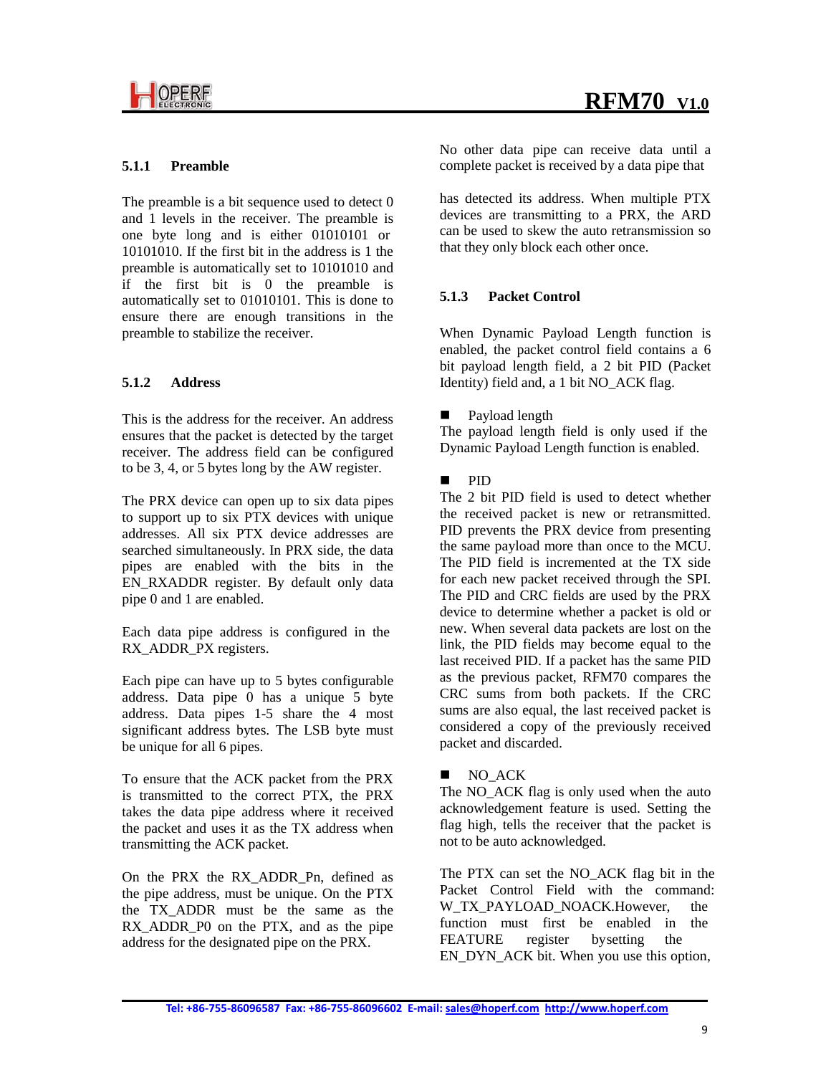

#### **5.1.1 Preamble**

The preamble is a bit sequence used to detect 0 and 1 levels in the receiver. The preamble is one byte long and is either 01010101 or 10101010. If the first bit in the address is 1 the preamble is automatically set to 10101010 and if the first bit is 0 the preamble is automatically set to 01010101. This is done to ensure there are enough transitions in the preamble to stabilize the receiver.

#### **5.1.2 Address**

This is the address for the receiver. An address ensures that the packet is detected by the target receiver. The address field can be configured to be 3, 4, or 5 bytes long by the AW register.

The PRX device can open up to six data pipes to support up to six PTX devices with unique addresses. All six PTX device addresses are searched simultaneously. In PRX side, the data pipes are enabled with the bits in the EN\_RXADDR register. By default only data pipe 0 and 1 are enabled.

Each data pipe address is configured in the RX\_ADDR\_PX registers.

Each pipe can have up to 5 bytes configurable address. Data pipe 0 has a unique 5 byte address. Data pipes 1-5 share the 4 most significant address bytes. The LSB byte must be unique for all 6 pipes.

To ensure that the ACK packet from the PRX is transmitted to the correct PTX, the PRX takes the data pipe address where it received the packet and uses it as the TX address when transmitting the ACK packet.

On the PRX the RX\_ADDR\_Pn, defined as the pipe address, must be unique. On the PTX the TX\_ADDR must be the same as the RX\_ADDR\_P0 on the PTX, and as the pipe address for the designated pipe on the PRX.

No other data pipe can receive data until a complete packet is received by a data pipe that

has detected its address. When multiple PTX devices are transmitting to a PRX, the ARD can be used to skew the auto retransmission so that they only block each other once.

#### **5.1.3 Packet Control**

When Dynamic Payload Length function is enabled, the packet control field contains a 6 bit payload length field, a 2 bit PID (Packet Identity) field and, a 1 bit NO ACK flag.

#### **Payload length**

The payload length field is only used if the Dynamic Payload Length function is enabled.

#### $\blacksquare$  PID

The 2 bit PID field is used to detect whether the received packet is new or retransmitted. PID prevents the PRX device from presenting the same payload more than once to the MCU. The PID field is incremented at the TX side for each new packet received through the SPI. The PID and CRC fields are used by the PRX device to determine whether a packet is old or new. When several data packets are lost on the link, the PID fields may become equal to the last received PID. If a packet has the same PID as the previous packet, RFM70 compares the CRC sums from both packets. If the CRC sums are also equal, the last received packet is considered a copy of the previously received packet and discarded.

#### NO ACK

The NO\_ACK flag is only used when the auto acknowledgement feature is used. Setting the flag high, tells the receiver that the packet is not to be auto acknowledged.

The PTX can set the NO\_ACK flag bit in the Packet Control Field with the command: W\_TX\_PAYLOAD\_NOACK.However, the function must first be enabled in the FEATURE register by setting the EN\_DYN\_ACK bit. When you use this option,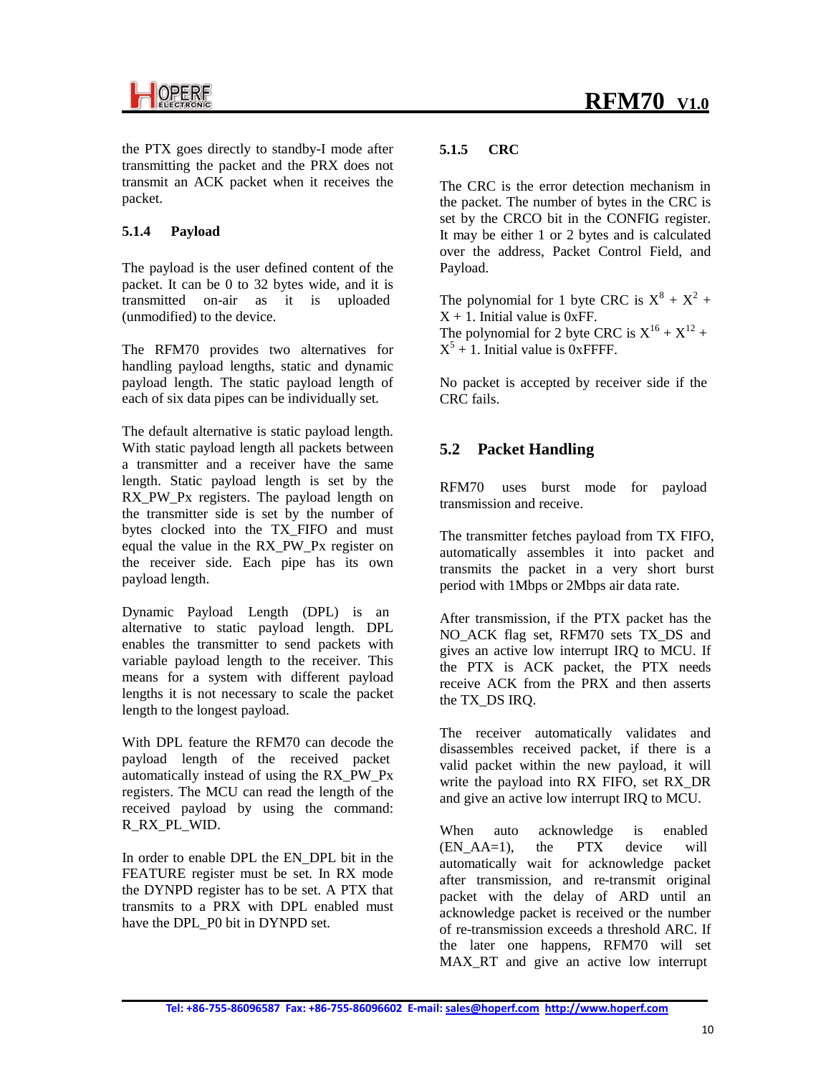

the PTX goes directly to standby-I mode after transmitting the packet and the PRX does not transmit an ACK packet when it receives the packet.

#### **5.1.4 Payload**

The payload is the user defined content of the packet. It can be 0 to 32 bytes wide, and it is transmitted on-air as it is uploaded (unmodified) to the device.

The RFM70 provides two alternatives for handling payload lengths, static and dynamic payload length. The static payload length of each of six data pipes can be individually set.

The default alternative is static payload length. With static payload length all packets between a transmitter and a receiver have the same length. Static payload length is set by the RX PW Px registers. The payload length on the transmitter side is set by the number of bytes clocked into the TX\_FIFO and must equal the value in the RX\_PW\_Px register on the receiver side. Each pipe has its own payload length.

Dynamic Payload Length (DPL) is an alternative to static payload length. DPL enables the transmitter to send packets with variable payload length to the receiver. This means for a system with different payload lengths it is not necessary to scale the packet length to the longest payload.

With DPL feature the RFM70 can decode the payload length of the received packet automatically instead of using the RX\_PW\_Px registers. The MCU can read the length of the received payload by using the command: R\_RX\_PL\_WID.

In order to enable DPL the EN\_DPL bit in the FEATURE register must be set. In RX mode the DYNPD register has to be set. A PTX that transmits to a PRX with DPL enabled must have the DPL\_P0 bit in DYNPD set.

#### **5.1.5 CRC**

The CRC is the error detection mechanism in the packet. The number of bytes in the CRC is set by the CRCO bit in the CONFIG register. It may be either 1 or 2 bytes and is calculated over the address, Packet Control Field, and Payload.

The polynomial for 1 byte CRC is  $X^8 + X^2 +$  $X + 1$ . Initial value is 0xFF. The polynomial for 2 byte CRC is  $X^{16} + X^{12} +$  $X^5$  + 1. Initial value is 0xFFFF.

No packet is accepted by receiver side if the CRC fails.

### **5.2 Packet Handling**

RFM70 uses burst mode for payload transmission and receive.

The transmitter fetches payload from TX FIFO, automatically assembles it into packet and transmits the packet in a very short burst period with 1Mbps or 2Mbps air data rate.

After transmission, if the PTX packet has the NO\_ACK flag set, RFM70 sets TX\_DS and gives an active low interrupt IRQ to MCU. If the PTX is ACK packet, the PTX needs receive ACK from the PRX and then asserts the TX\_DS IRQ.

The receiver automatically validates and disassembles received packet, if there is a valid packet within the new payload, it will write the payload into RX FIFO, set RX\_DR and give an active low interrupt IRQ to MCU.

When auto acknowledge is enabled  $(ENAA=1)$ , the PTX device will automatically wait for acknowledge packet after transmission, and re-transmit original packet with the delay of ARD until an acknowledge packet is received or the number of re-transmission exceeds a threshold ARC. If the later one happens, RFM70 will set MAX\_RT and give an active low interrupt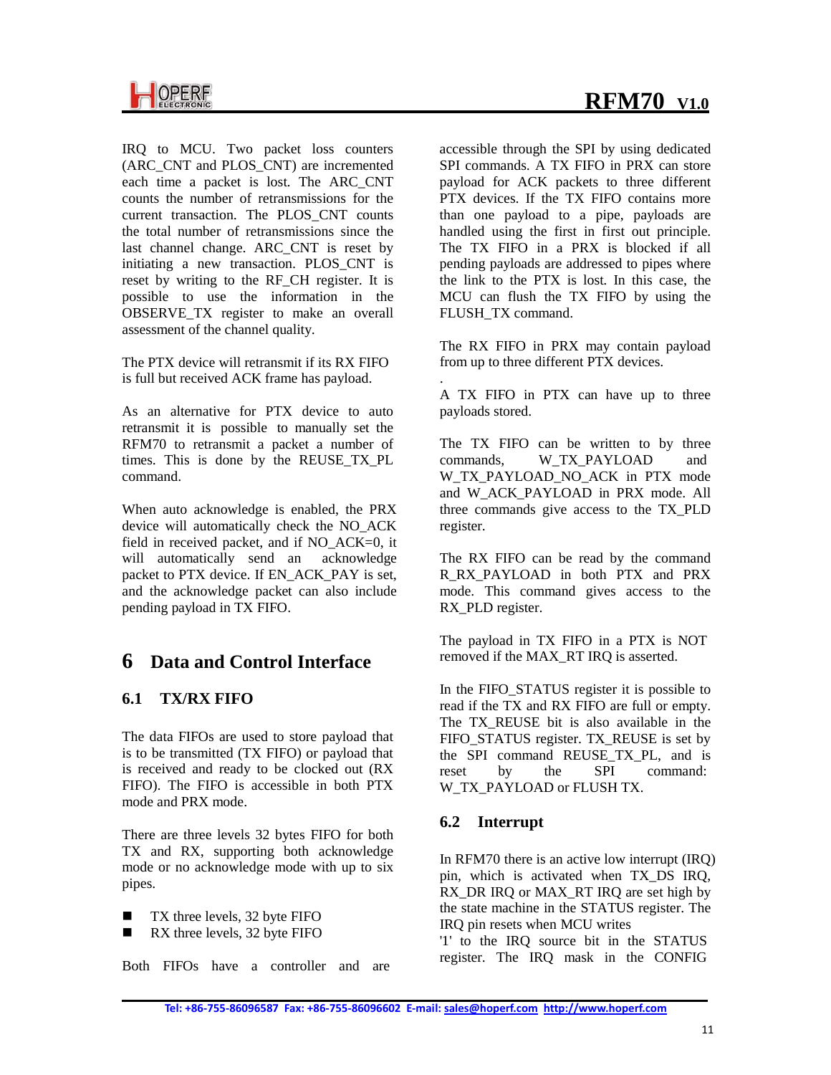IRQ to MCU. Two packet loss counters (ARC\_CNT and PLOS\_CNT) are incremented each time a packet is lost. The ARC\_CNT counts the number of retransmissions for the current transaction. The PLOS\_CNT counts the total number of retransmissions since the last channel change. ARC\_CNT is reset by initiating a new transaction. PLOS\_CNT is reset by writing to the RF\_CH register. It is possible to use the information in the OBSERVE TX register to make an overall assessment of the channel quality.

The PTX device will retransmit if its RX FIFO is full but received ACK frame has payload.

As an alternative for PTX device to auto retransmit it is possible to manually set the RFM70 to retransmit a packet a number of times. This is done by the REUSE\_TX\_PL command.

When auto acknowledge is enabled, the PRX device will automatically check the NO\_ACK field in received packet, and if NO\_ACK=0, it will automatically send an acknowledge packet to PTX device. If EN\_ACK\_PAY is set, and the acknowledge packet can also include pending payload in TX FIFO.

## **6 Data and Control Interface**

## **6.1 TX/RX FIFO**

The data FIFOs are used to store payload that is to be transmitted (TX FIFO) or payload that is received and ready to be clocked out (RX FIFO). The FIFO is accessible in both PTX mode and PRX mode.

There are three levels 32 bytes FIFO for both TX and RX, supporting both acknowledge mode or no acknowledge mode with up to six pipes.

- $\blacksquare$  TX three levels, 32 byte FIFO
- RX three levels, 32 byte FIFO

Both FIFOs have a controller and are

accessible through the SPI by using dedicated SPI commands. A TX FIFO in PRX can store payload for ACK packets to three different PTX devices. If the TX FIFO contains more than one payload to a pipe, payloads are handled using the first in first out principle. The TX FIFO in a PRX is blocked if all pending payloads are addressed to pipes where the link to the PTX is lost. In this case, the MCU can flush the TX FIFO by using the FLUSH\_TX command.

The RX FIFO in PRX may contain payload from up to three different PTX devices.

. A TX FIFO in PTX can have up to three payloads stored.

The TX FIFO can be written to by three commands, W\_TX\_PAYLOAD and W\_TX\_PAYLOAD\_NO\_ACK in PTX mode and W\_ACK\_PAYLOAD in PRX mode. All three commands give access to the TX\_PLD register.

The RX FIFO can be read by the command R\_RX\_PAYLOAD in both PTX and PRX mode. This command gives access to the RX\_PLD register.

The payload in TX FIFO in a PTX is NOT removed if the MAX\_RT IRQ is asserted.

In the FIFO\_STATUS register it is possible to read if the TX and RX FIFO are full or empty. The TX REUSE bit is also available in the FIFO\_STATUS register. TX\_REUSE is set by the SPI command REUSE TX PL, and is reset by the SPI command: W\_TX\_PAYLOAD or FLUSH TX.

## **6.2 Interrupt**

In RFM70 there is an active low interrupt (IRQ) pin, which is activated when TX\_DS IRQ, RX DR IRQ or MAX RT IRQ are set high by the state machine in the STATUS register. The IRQ pin resets when MCU writes

'1' to the IRQ source bit in the STATUS register. The IRQ mask in the CONFIG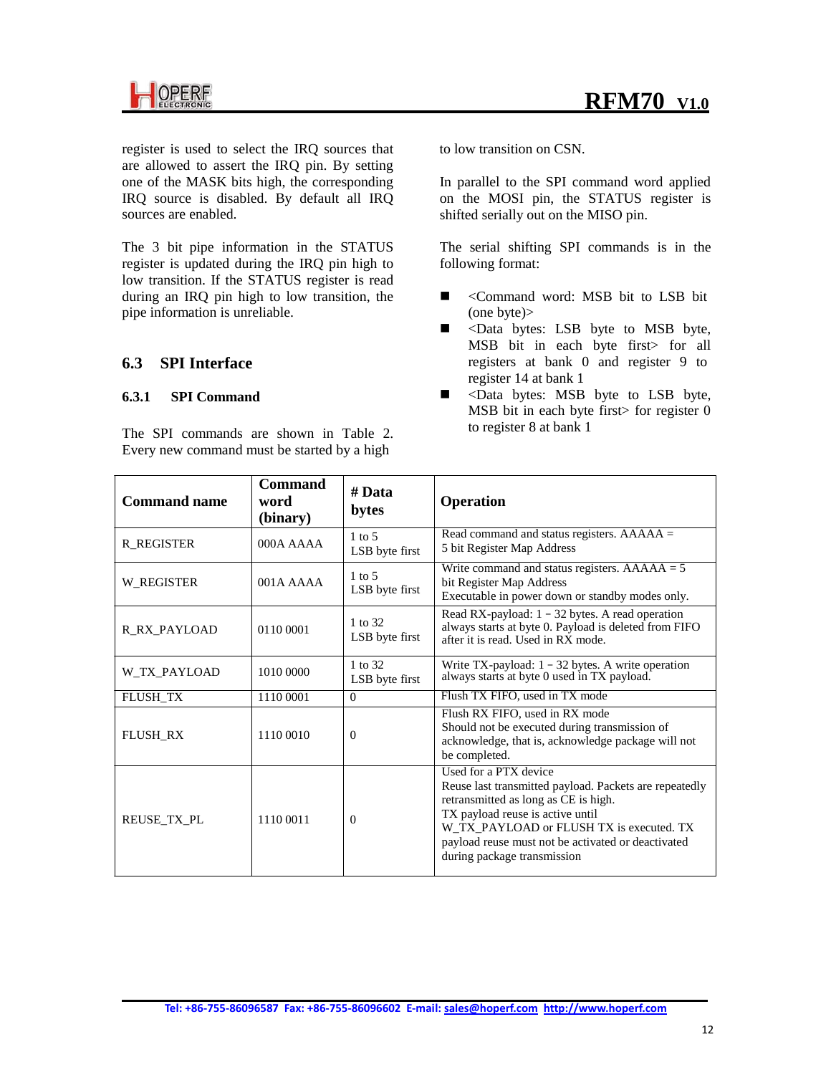

register is used to select the IRQ sources that are allowed to assert the IRQ pin. By setting one of the MASK bits high, the corresponding IRQ source is disabled. By default all IRQ sources are enabled.

The 3 bit pipe information in the STATUS register is updated during the IRQ pin high to low transition. If the STATUS register is read during an IRQ pin high to low transition, the pipe information is unreliable.

### **6.3 SPI Interface**

#### **6.3.1 SPI Command**

The SPI commands are shown in Table 2. Every new command must be started by a high

to low transition on CSN.

In parallel to the SPI command word applied on the MOSI pin, the STATUS register is shifted serially out on the MISO pin.

The serial shifting SPI commands is in the following format:

- <Command word: MSB bit to LSB bit (one byte)>
- $\blacksquare$  <Data bytes: LSB byte to MSB byte, MSB bit in each byte first> for all registers at bank 0 and register 9 to register 14 at bank 1
- **No. 25** <Data bytes: MSB byte to LSB byte, MSB bit in each byte first> for register 0 to register 8 at bank 1

| <b>Command name</b> | <b>Command</b><br>word<br>(binary) | # Data<br>bytes                     | <b>Operation</b>                                                                                                                                                                                                                                                                             |
|---------------------|------------------------------------|-------------------------------------|----------------------------------------------------------------------------------------------------------------------------------------------------------------------------------------------------------------------------------------------------------------------------------------------|
| <b>R REGISTER</b>   | $000A$ $AAAA$                      | $1 \text{ to } 5$<br>LSB byte first | Read command and status registers. $AAAAA =$<br>5 bit Register Map Address                                                                                                                                                                                                                   |
| W REGISTER          | $001A$ $AAAA$                      | $1$ to 5<br>LSB byte first          | Write command and status registers. $AAAAA = 5$<br>bit Register Map Address<br>Executable in power down or standby modes only.                                                                                                                                                               |
| R RX PAYLOAD        | 0110 0001                          | 1 to 32<br>LSB byte first           | Read RX-payload: $1 - 32$ bytes. A read operation<br>always starts at byte 0. Payload is deleted from FIFO<br>after it is read. Used in RX mode.                                                                                                                                             |
| W TX PAYLOAD        | 1010 0000                          | 1 to 32<br>LSB byte first           | Write TX-payload: $1 - 32$ bytes. A write operation<br>always starts at byte 0 used in TX payload.                                                                                                                                                                                           |
| <b>FLUSH_TX</b>     | 1110 0001                          | $\Omega$                            | Flush TX FIFO, used in TX mode                                                                                                                                                                                                                                                               |
| <b>FLUSH RX</b>     | 1110 0010                          | $\overline{0}$                      | Flush RX FIFO, used in RX mode<br>Should not be executed during transmission of<br>acknowledge, that is, acknowledge package will not<br>be completed.                                                                                                                                       |
| REUSE TX PL         | 1110 0011                          | $\Omega$                            | Used for a PTX device<br>Reuse last transmitted payload. Packets are repeatedly<br>retransmitted as long as CE is high.<br>TX payload reuse is active until<br>W_TX_PAYLOAD or FLUSH TX is executed. TX<br>payload reuse must not be activated or deactivated<br>during package transmission |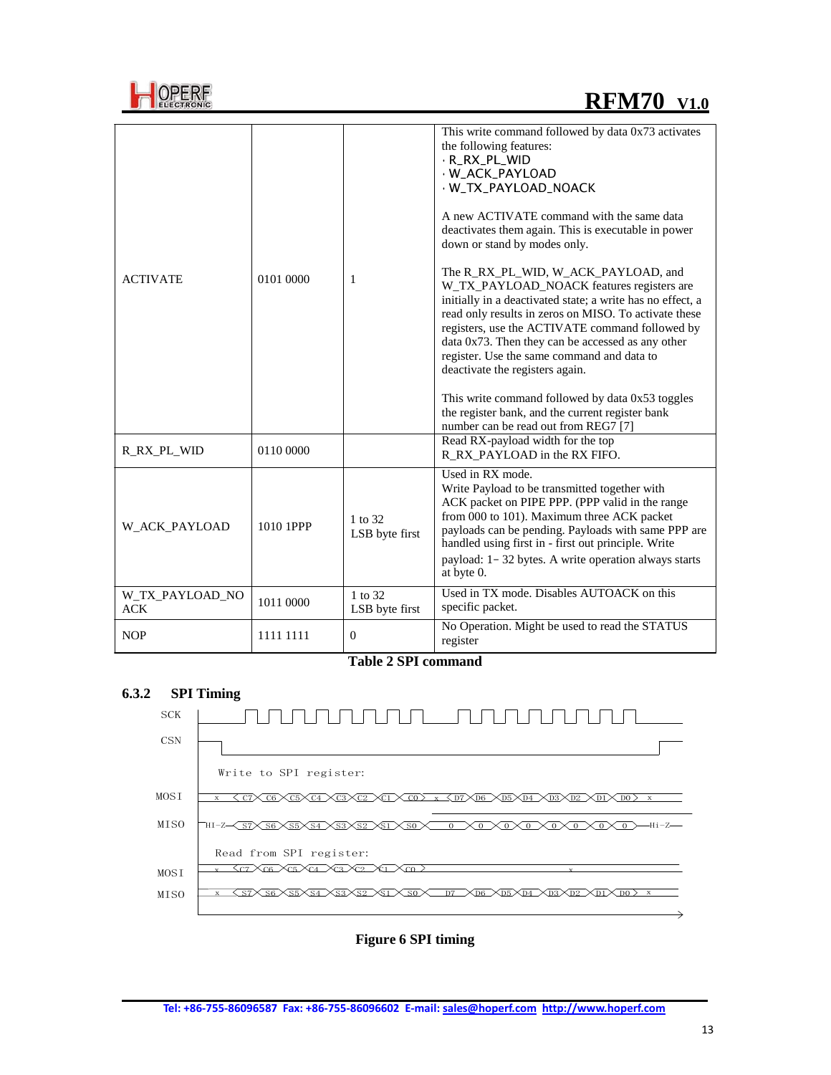

| <b>OPERF</b> |
|--------------|
| œ.<br>EGTR   |

| <b>ACTIVATE</b>               | 0101 0000 | 1                         | This write command followed by data 0x73 activates<br>the following features:<br>· R_RX_PL_WID<br>· W_ACK_PAYLOAD<br>· W_TX_PAYLOAD_NOACK<br>A new ACTIVATE command with the same data<br>deactivates them again. This is executable in power<br>down or stand by modes only.<br>The R_RX_PL_WID, W_ACK_PAYLOAD, and<br>W_TX_PAYLOAD_NOACK features registers are<br>initially in a deactivated state; a write has no effect, a<br>read only results in zeros on MISO. To activate these<br>registers, use the ACTIVATE command followed by<br>data 0x73. Then they can be accessed as any other<br>register. Use the same command and data to<br>deactivate the registers again.<br>This write command followed by data 0x53 toggles<br>the register bank, and the current register bank<br>number can be read out from REG7 [7] |
|-------------------------------|-----------|---------------------------|-----------------------------------------------------------------------------------------------------------------------------------------------------------------------------------------------------------------------------------------------------------------------------------------------------------------------------------------------------------------------------------------------------------------------------------------------------------------------------------------------------------------------------------------------------------------------------------------------------------------------------------------------------------------------------------------------------------------------------------------------------------------------------------------------------------------------------------|
| R RX PL WID                   | 0110 0000 |                           | Read RX-payload width for the top<br>R RX PAYLOAD in the RX FIFO.                                                                                                                                                                                                                                                                                                                                                                                                                                                                                                                                                                                                                                                                                                                                                                 |
| W ACK PAYLOAD                 | 1010 1PPP | 1 to 32<br>LSB byte first | Used in RX mode.<br>Write Payload to be transmitted together with<br>ACK packet on PIPE PPP. (PPP valid in the range<br>from 000 to 101). Maximum three ACK packet<br>payloads can be pending. Payloads with same PPP are<br>handled using first in - first out principle. Write<br>payload: 1-32 bytes. A write operation always starts<br>at byte 0.                                                                                                                                                                                                                                                                                                                                                                                                                                                                            |
| W_TX_PAYLOAD_NO<br><b>ACK</b> | 1011 0000 | 1 to 32<br>LSB byte first | Used in TX mode. Disables AUTOACK on this<br>specific packet.                                                                                                                                                                                                                                                                                                                                                                                                                                                                                                                                                                                                                                                                                                                                                                     |
| <b>NOP</b>                    | 1111 1111 | $\theta$                  | No Operation. Might be used to read the STATUS<br>register                                                                                                                                                                                                                                                                                                                                                                                                                                                                                                                                                                                                                                                                                                                                                                        |

**Table 2 SPI command**

#### **6.3.2 SPI Timing**



**Figure 6 SPI timing**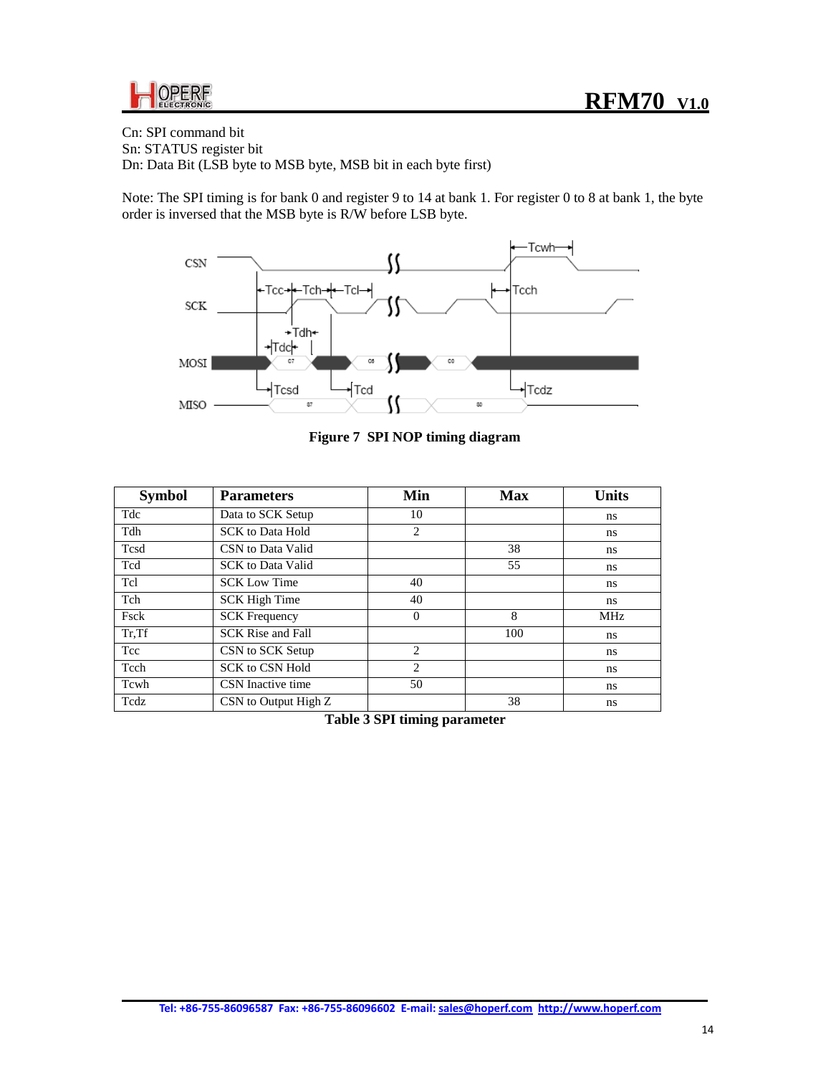

Cn: SPI command bit Sn: STATUS register bit Dn: Data Bit (LSB byte to MSB byte, MSB bit in each byte first)

Note: The SPI timing is for bank 0 and register 9 to 14 at bank 1. For register 0 to 8 at bank 1, the byte order is inversed that the MSB byte is R/W before LSB byte.



**Figure 7 SPI NOP timing diagram**

| <b>Symbol</b> | <b>Parameters</b>        | Min                           | <b>Max</b> | <b>Units</b> |
|---------------|--------------------------|-------------------------------|------------|--------------|
| Tdc           | Data to SCK Setup        | 10                            |            | ns           |
| Tdh           | <b>SCK</b> to Data Hold  | $\overline{c}$                |            | ns           |
| Tcsd          | CSN to Data Valid        |                               | 38         | ns           |
| Tcd           | <b>SCK</b> to Data Valid |                               | 55         | ns.          |
| Tcl           | <b>SCK Low Time</b>      | 40                            |            | ns           |
| Tch           | <b>SCK High Time</b>     | 40                            |            | ns.          |
| Fsck          | <b>SCK Frequency</b>     | $\theta$                      | 8          | MHz          |
| Tr, Tf        | <b>SCK Rise and Fall</b> |                               | 100        | ns.          |
| Tcc           | CSN to SCK Setup         | $\mathfrak{D}$                |            | ns           |
| Tcch          | <b>SCK to CSN Hold</b>   | $\overline{c}$                |            | ns           |
| Tcwh          | CSN Inactive time        | 50                            |            | ns.          |
| Tedz          | CSN to Output High Z     |                               | 38         | ns           |
|               |                          | Toble 2 CDI timing perspector |            |              |

**Table 3 SPI timing parameter**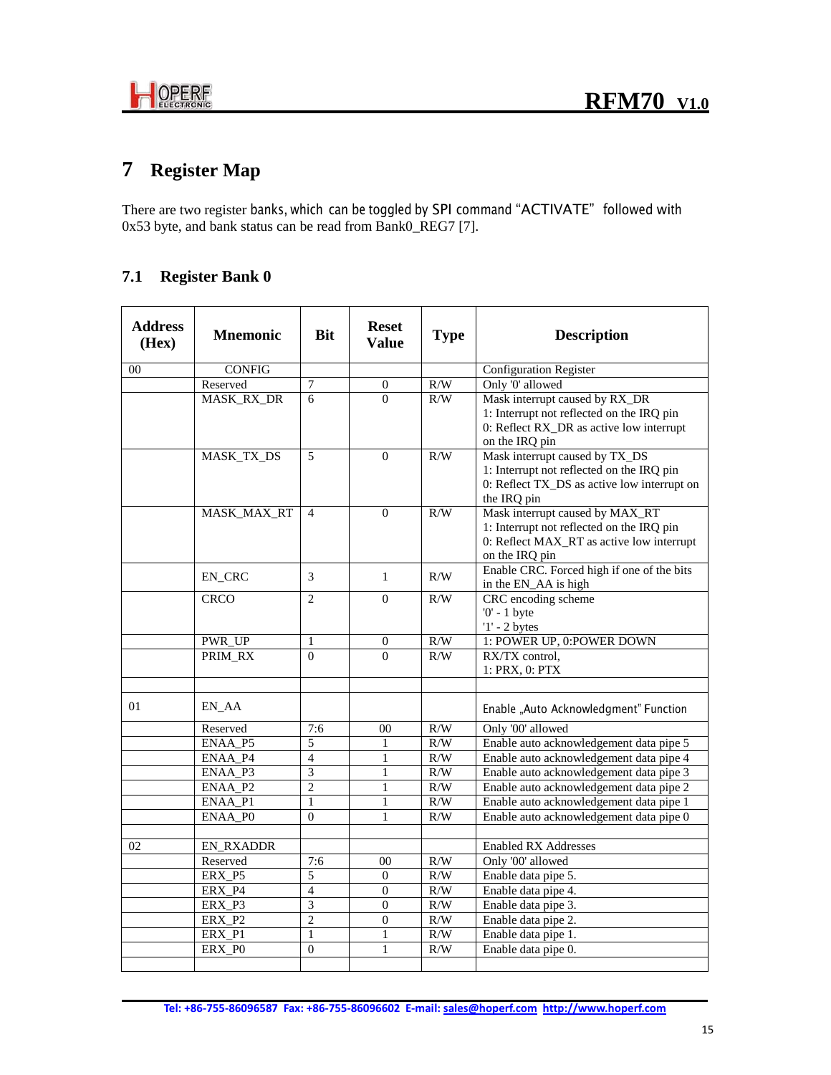

# **7 Register Map**

There are two register banks, which can be toggled by SPI command "ACTIVATE" followed with 0x53 byte, and bank status can be read from Bank0\_REG7 [7].

## **7.1 Register Bank 0**

| <b>Address</b><br>(Hex) | <b>Mnemonic</b>              | <b>Bit</b>               | <b>Reset</b><br><b>Value</b> | <b>Type</b> | <b>Description</b>                                                                                                                          |
|-------------------------|------------------------------|--------------------------|------------------------------|-------------|---------------------------------------------------------------------------------------------------------------------------------------------|
| 00                      | <b>CONFIG</b>                |                          |                              |             | <b>Configuration Register</b>                                                                                                               |
|                         | Reserved                     | 7                        | $\boldsymbol{0}$             | R/W         | Only '0' allowed                                                                                                                            |
|                         | MASK_RX_DR                   | 6                        | $\Omega$                     | R/W         | Mask interrupt caused by RX_DR<br>1: Interrupt not reflected on the IRQ pin<br>0: Reflect RX_DR as active low interrupt<br>on the IRQ pin   |
|                         | MASK_TX_DS                   | 5                        | $\theta$                     | R/W         | Mask interrupt caused by TX_DS<br>1: Interrupt not reflected on the IRQ pin<br>0: Reflect TX_DS as active low interrupt on<br>the IRQ pin   |
|                         | MASK_MAX_RT                  | $\overline{4}$           | $\Omega$                     | R/W         | Mask interrupt caused by MAX_RT<br>1: Interrupt not reflected on the IRQ pin<br>0: Reflect MAX_RT as active low interrupt<br>on the IRQ pin |
|                         | EN_CRC                       | 3                        | $\mathbf{1}$                 | R/W         | Enable CRC. Forced high if one of the bits<br>in the EN_AA is high                                                                          |
|                         | <b>CRCO</b>                  | $\overline{c}$           | $\Omega$                     | R/W         | CRC encoding scheme<br>$0'$ - 1 byte<br>$'1'$ - 2 bytes                                                                                     |
|                         | PWR_UP                       | 1                        | $\overline{0}$               | R/W         | 1: POWER UP, 0: POWER DOWN                                                                                                                  |
|                         | PRIM_RX                      | $\theta$                 | $\Omega$                     | R/W         | RX/TX control,<br>1: PRX, 0: PTX                                                                                                            |
|                         |                              |                          |                              |             |                                                                                                                                             |
| 01                      | EN AA                        |                          |                              |             | Enable "Auto Acknowledgment" Function                                                                                                       |
|                         | Reserved                     | 7:6                      | 0 <sub>0</sub>               | R/W         | Only '00' allowed                                                                                                                           |
|                         | $ENAA$ <sub>P5</sub>         | 5                        | 1                            | R/W         | Enable auto acknowledgement data pipe 5                                                                                                     |
|                         | ENAA_P4                      | $\overline{\mathcal{L}}$ | 1                            | R/W         | Enable auto acknowledgement data pipe 4                                                                                                     |
|                         | ENAA P3                      | $\overline{3}$           | $\mathbf{1}$                 | R/W         | Enable auto acknowledgement data pipe 3                                                                                                     |
|                         | $ENAA$ <sub>P2</sub>         | $\overline{2}$           | $\mathbf{1}$                 | R/W         | Enable auto acknowledgement data pipe 2                                                                                                     |
|                         | ENAA_P1                      | $\mathbf{1}$             | 1                            | R/W         | Enable auto acknowledgement data pipe 1                                                                                                     |
|                         | ENAA_PO                      | $\theta$                 | 1                            | R/W         | Enable auto acknowledgement data pipe 0                                                                                                     |
|                         |                              |                          |                              |             |                                                                                                                                             |
| 02                      | <b>EN_RXADDR</b><br>Reserved | 7:6                      | 0 <sub>0</sub>               | R/W         | <b>Enabled RX Addresses</b><br>Only '00' allowed                                                                                            |
|                         | ERX_P5                       | 5                        | $\mathbf{0}$                 | R/W         | Enable data pipe 5.                                                                                                                         |
|                         | ERX_P4                       | $\overline{4}$           | $\overline{0}$               | R/W         | Enable data pipe 4.                                                                                                                         |
|                         | ERX_P3                       | 3                        | $\theta$                     | R/W         | Enable data pipe 3.                                                                                                                         |
|                         | ERX <sub>P2</sub>            | $\overline{2}$           | $\overline{0}$               | R/W         | Enable data pipe 2.                                                                                                                         |
|                         | ERX <sub>P1</sub>            | $\mathbf{1}$             | $\mathbf{1}$                 | R/W         | Enable data pipe 1.                                                                                                                         |
|                         | ERX PO                       | $\theta$                 | 1                            | R/W         | Enable data pipe 0.                                                                                                                         |
|                         |                              |                          |                              |             |                                                                                                                                             |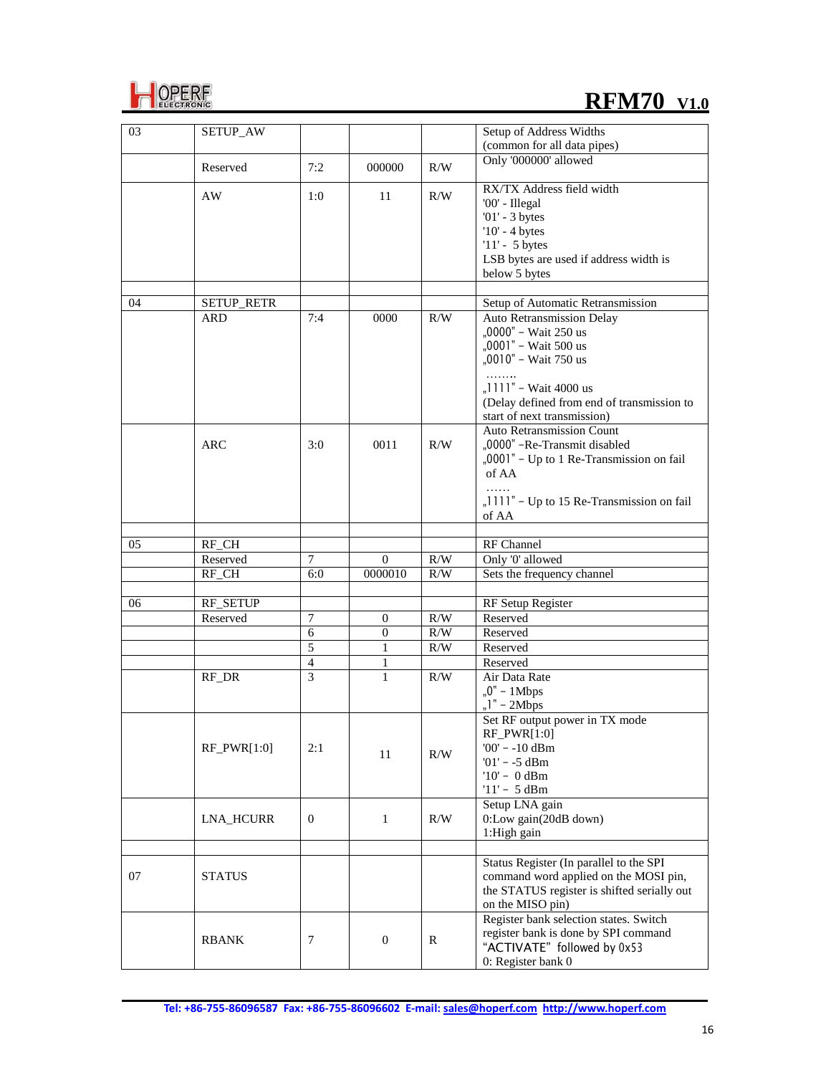

# **REM70** V1.0

| 03 | SETUP_AW         |                |                |            | Setup of Address Widths                                                                                                                                                     |
|----|------------------|----------------|----------------|------------|-----------------------------------------------------------------------------------------------------------------------------------------------------------------------------|
|    |                  |                |                |            | (common for all data pipes)<br>Only '000000' allowed                                                                                                                        |
|    | Reserved         | 7:2            | 000000         | R/W        |                                                                                                                                                                             |
|    | AW               | 1:0            | 11             | R/W        | RX/TX Address field width<br>'00' - Illegal<br>$'01'$ - 3 bytes<br>$'10'$ - 4 bytes<br>$'11' - 5$ bytes<br>LSB bytes are used if address width is<br>below 5 bytes          |
|    |                  |                |                |            |                                                                                                                                                                             |
| 04 | SETUP_RETR       |                |                |            | Setup of Automatic Retransmission                                                                                                                                           |
|    | <b>ARD</b>       | 7:4            | 0000           | R/W        | Auto Retransmission Delay<br>"0000" - Wait 250 us<br>"0001" - Wait 500 us<br>"0010" - Wait 750 us<br>" $1111"$ – Wait 4000 us<br>(Delay defined from end of transmission to |
|    | <b>ARC</b>       | 3:0            | 0011           | R/W        | start of next transmission)<br>Auto Retransmission Count<br>"0000" -Re-Transmit disabled<br>"0001" - Up to 1 Re-Transmission on fail<br>of AA                               |
|    |                  |                |                |            | "1111" - Up to 15 Re-Transmission on fail<br>of AA                                                                                                                          |
|    |                  |                |                |            |                                                                                                                                                                             |
| 05 | RF_CH            |                |                |            | RF Channel                                                                                                                                                                  |
|    | Reserved         | 7              | $\mathbf{0}$   | R/W        | Only '0' allowed                                                                                                                                                            |
|    | RF_CH            | 6:0            | 0000010        | R/W        | Sets the frequency channel                                                                                                                                                  |
|    | RF_SETUP         |                |                |            |                                                                                                                                                                             |
| 06 | Reserved         | 7              | $\theta$       |            | RF Setup Register<br>Reserved                                                                                                                                               |
|    |                  | 6              | $\overline{0}$ | R/W<br>R/W | Reserved                                                                                                                                                                    |
|    |                  | $\overline{5}$ | $\mathbf{1}$   | R/W        | Reserved                                                                                                                                                                    |
|    |                  | $\overline{4}$ | 1              |            | Reserved                                                                                                                                                                    |
|    | RF_DR            | $\overline{3}$ | 1              | R/W        | Air Data Rate<br>" $0" - 1$ Mbps<br>" $l"$ – 2Mbps                                                                                                                          |
|    | $RF_PWR[1:0]$    | 2:1            | 11             | R/W        | Set RF output power in TX mode<br>$RF_PWR[1:0]$<br>$'00'$ - -10 dBm<br>$01' - -5$ dBm<br>$'10' - 0$ dBm<br>$'11' - 5$ dBm                                                   |
|    | <b>LNA HCURR</b> | $\mathbf{0}$   | $\mathbf{1}$   | R/W        | Setup LNA gain<br>0:Low gain(20dB down)<br>1:High gain                                                                                                                      |
| 07 | <b>STATUS</b>    |                |                |            | Status Register (In parallel to the SPI<br>command word applied on the MOSI pin,<br>the STATUS register is shifted serially out<br>on the MISO pin)                         |
|    | <b>RBANK</b>     | 7              | $\overline{0}$ | R          | Register bank selection states. Switch<br>register bank is done by SPI command<br>"ACTIVATE" followed by 0x53<br>0: Register bank 0                                         |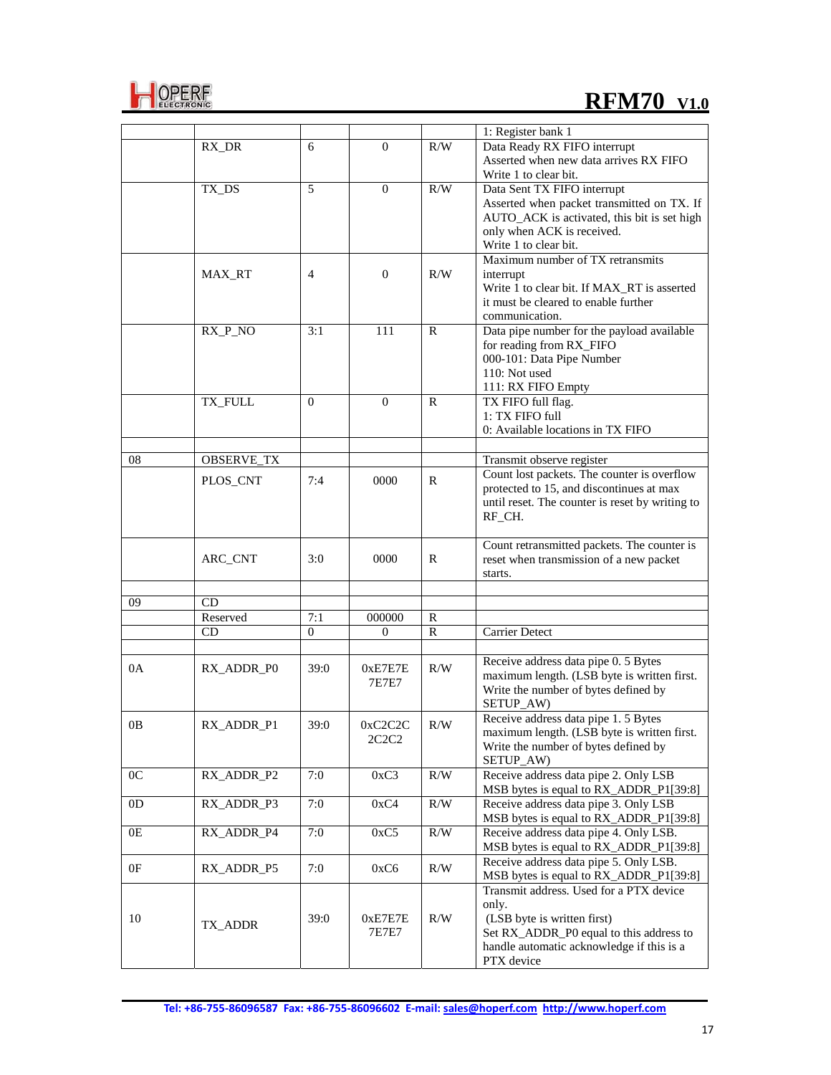

# **REM70** V1.0

|                |                   |                |              |              | 1: Register bank 1                                                               |
|----------------|-------------------|----------------|--------------|--------------|----------------------------------------------------------------------------------|
|                | RX_DR             | 6              | $\Omega$     | R/W          | Data Ready RX FIFO interrupt                                                     |
|                |                   |                |              |              | Asserted when new data arrives RX FIFO                                           |
|                |                   |                |              |              | Write 1 to clear bit.                                                            |
|                | TX_DS             | 5              | $\Omega$     | R/W          | Data Sent TX FIFO interrupt                                                      |
|                |                   |                |              |              | Asserted when packet transmitted on TX. If                                       |
|                |                   |                |              |              | AUTO_ACK is activated, this bit is set high                                      |
|                |                   |                |              |              | only when ACK is received.                                                       |
|                |                   |                |              |              | Write 1 to clear bit.                                                            |
|                |                   |                |              |              | Maximum number of TX retransmits                                                 |
|                | MAX_RT            | 4              | $\mathbf{0}$ | R/W          |                                                                                  |
|                |                   |                |              |              | interrupt                                                                        |
|                |                   |                |              |              | Write 1 to clear bit. If MAX_RT is asserted                                      |
|                |                   |                |              |              | it must be cleared to enable further                                             |
|                |                   |                |              |              | communication.                                                                   |
|                | RX_P_NO           | 3:1            | 111          | R            | Data pipe number for the payload available                                       |
|                |                   |                |              |              | for reading from RX_FIFO                                                         |
|                |                   |                |              |              | 000-101: Data Pipe Number                                                        |
|                |                   |                |              |              | 110: Not used                                                                    |
|                |                   |                |              |              | 111: RX FIFO Empty                                                               |
|                | TX_FULL           | $\overline{0}$ | $\mathbf{0}$ | R            | TX FIFO full flag.                                                               |
|                |                   |                |              |              | 1: TX FIFO full                                                                  |
|                |                   |                |              |              | 0: Available locations in TX FIFO                                                |
|                |                   |                |              |              |                                                                                  |
| 08             | <b>OBSERVE_TX</b> |                |              |              | Transmit observe register                                                        |
|                | PLOS_CNT          | 7:4            | 0000         | R            | Count lost packets. The counter is overflow                                      |
|                |                   |                |              |              | protected to 15, and discontinues at max                                         |
|                |                   |                |              |              | until reset. The counter is reset by writing to                                  |
|                |                   |                |              |              | RF_CH.                                                                           |
|                |                   |                |              |              |                                                                                  |
|                |                   |                |              |              | Count retransmitted packets. The counter is                                      |
|                | ARC_CNT           | 3:0            | 0000         | R            | reset when transmission of a new packet                                          |
|                |                   |                |              |              | starts.                                                                          |
| 09             | CD                |                |              |              |                                                                                  |
|                | Reserved          | 7:1            | 000000       | R            |                                                                                  |
|                | CD                | $\theta$       | $\Omega$     | $\mathbb{R}$ | <b>Carrier Detect</b>                                                            |
|                |                   |                |              |              |                                                                                  |
|                |                   |                |              |              | Receive address data pipe 0. 5 Bytes                                             |
| 0A             | RX_ADDR_P0        | 39:0           | 0xE7E7E      | R/W          | maximum length. (LSB byte is written first.                                      |
|                |                   |                | 7E7E7        |              | Write the number of bytes defined by                                             |
|                |                   |                |              |              | SETUP_AW)                                                                        |
|                |                   |                |              |              | Receive address data pipe 1.5 Bytes                                              |
| 0B             | RX_ADDR_P1        | 39:0           | 0xC2C2C      | R/W          |                                                                                  |
|                |                   |                | 2C2C2        |              | maximum length. (LSB byte is written first.                                      |
|                |                   |                |              |              | Write the number of bytes defined by                                             |
|                |                   |                |              |              | SETUP_AW)                                                                        |
| 0 <sup>C</sup> | RX_ADDR_P2        | 7:0            | 0xC3         | R/W          | Receive address data pipe 2. Only LSB                                            |
|                |                   |                |              |              | MSB bytes is equal to RX_ADDR_P1[39:8]                                           |
| 0 <sub>D</sub> | RX_ADDR_P3        | 7:0            | 0xC4         | R/W          | Receive address data pipe 3. Only LSB                                            |
|                |                   |                |              |              | MSB bytes is equal to RX_ADDR_P1[39:8]<br>Receive address data pipe 4. Only LSB. |
| 0E             | RX_ADDR_P4        | 7:0            | 0xC5         | R/W          |                                                                                  |
|                |                   |                |              |              | MSB bytes is equal to RX_ADDR_P1[39:8]                                           |
| 0F             | RX_ADDR_P5        | 7:0            | 0xC6         | R/W          | Receive address data pipe 5. Only LSB.                                           |
|                |                   |                |              |              | MSB bytes is equal to RX_ADDR_P1[39:8]                                           |
|                |                   |                |              |              | Transmit address. Used for a PTX device                                          |
|                |                   |                |              |              | only.                                                                            |
| 10             | TX_ADDR           | 39:0           | 0xE7E7E      | R/W          | (LSB byte is written first)                                                      |
|                |                   |                | 7E7E7        |              | Set RX_ADDR_P0 equal to this address to                                          |
|                |                   |                |              |              | handle automatic acknowledge if this is a                                        |
|                |                   |                |              |              | PTX device                                                                       |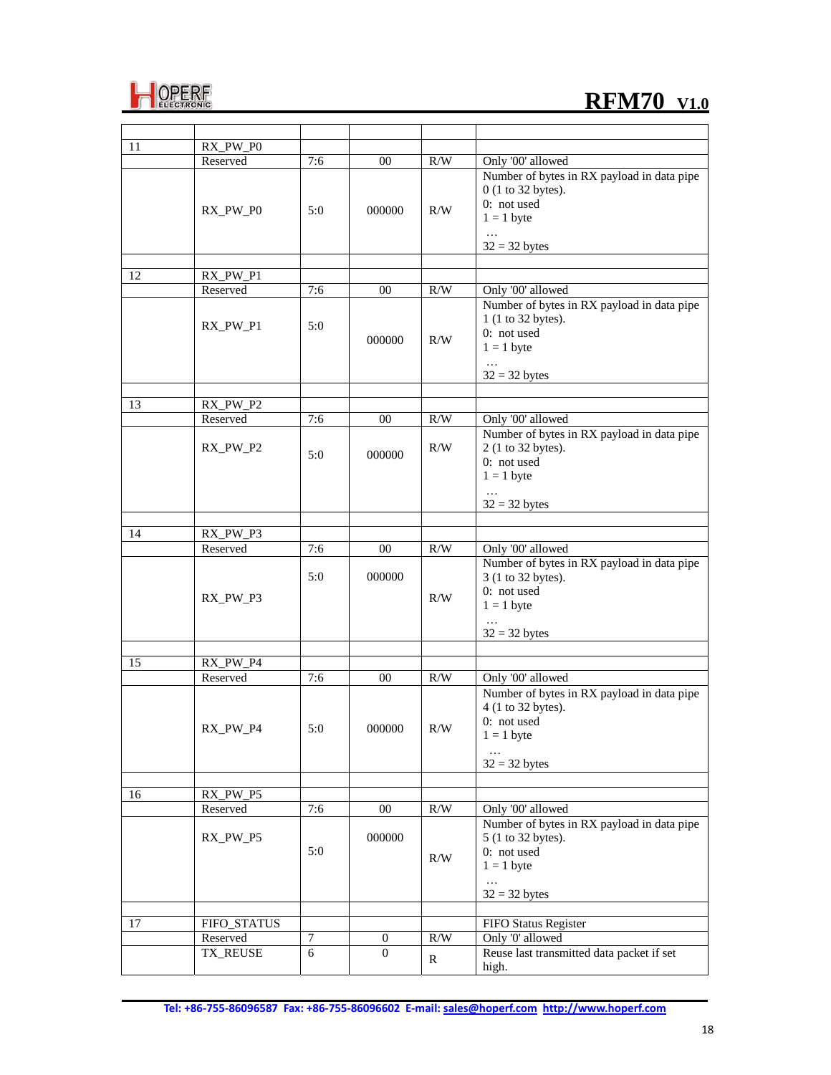

| 11 | RX_PW_P0        |     |          |           |                                            |
|----|-----------------|-----|----------|-----------|--------------------------------------------|
|    | Reserved        | 7:6 | 00       | R/W       | Only '00' allowed                          |
|    |                 |     |          |           | Number of bytes in RX payload in data pipe |
|    |                 |     |          |           | 0 (1 to 32 bytes).                         |
|    |                 |     |          |           | 0: not used                                |
|    | RX_PW_P0        | 5:0 | 000000   | $\rm R/W$ | $1 = 1$ byte                               |
|    |                 |     |          |           |                                            |
|    |                 |     |          |           | $32 = 32$ bytes                            |
|    |                 |     |          |           |                                            |
| 12 | $RX_PW_P1$      |     |          |           |                                            |
|    | Reserved        | 7:6 | 00       | R/W       | Only '00' allowed                          |
|    |                 |     |          |           | Number of bytes in RX payload in data pipe |
|    |                 |     |          |           | 1 (1 to 32 bytes).                         |
|    | RX_PW_P1        | 5:0 |          |           |                                            |
|    |                 |     | 000000   | R/W       | 0: not used                                |
|    |                 |     |          |           | $1 = 1$ byte                               |
|    |                 |     |          |           |                                            |
|    |                 |     |          |           | $32 = 32$ bytes                            |
|    |                 |     |          |           |                                            |
| 13 | RX_PW_P2        |     |          |           |                                            |
|    | Reserved        | 7:6 | 00       | R/W       | Only '00' allowed                          |
|    |                 |     |          |           | Number of bytes in RX payload in data pipe |
|    | RX_PW_P2        | 5:0 | 000000   | R/W       | 2 (1 to 32 bytes).                         |
|    |                 |     |          |           | 0: not used                                |
|    |                 |     |          |           | $1 = 1$ byte                               |
|    |                 |     |          |           |                                            |
|    |                 |     |          |           | $32 = 32$ bytes                            |
|    |                 |     |          |           |                                            |
| 14 | RX_PW_P3        |     |          |           |                                            |
|    | Reserved        | 7:6 | 00       | R/W       | Only '00' allowed                          |
|    |                 |     |          |           | Number of bytes in RX payload in data pipe |
|    |                 | 5:0 | 000000   |           | 3 (1 to 32 bytes).                         |
|    | RX PW P3        |     |          | R/W       | 0: not used                                |
|    |                 |     |          |           | $1 = 1$ byte                               |
|    |                 |     |          |           |                                            |
|    |                 |     |          |           | $32 = 32$ bytes                            |
|    |                 |     |          |           |                                            |
| 15 | RX_PW_P4        |     |          |           |                                            |
|    | Reserved        | 7:6 | 00       | R/W       | Only '00' allowed                          |
|    |                 |     |          |           | Number of bytes in RX payload in data pipe |
|    |                 |     |          |           | 4 (1 to 32 bytes).                         |
|    | RX_PW_P4        | 5:0 | 000000   | R/W       | 0: not used                                |
|    |                 |     |          |           | $1 = 1$ byte                               |
|    |                 |     |          |           |                                            |
|    |                 |     |          |           | $32 = 32$ bytes                            |
|    |                 |     |          |           |                                            |
| 16 | RX_PW_P5        |     |          |           |                                            |
|    | Reserved        | 7:6 | $00\,$   | R/W       | Only '00' allowed                          |
|    |                 |     |          |           | Number of bytes in RX payload in data pipe |
|    | RX_PW_P5        |     | 000000   |           | 5 (1 to 32 bytes).                         |
|    |                 | 5:0 |          |           | 0: not used                                |
|    |                 |     |          | R/W       | $1 = 1$ byte                               |
|    |                 |     |          |           | $\ddots$                                   |
|    |                 |     |          |           | $32 = 32$ bytes                            |
|    |                 |     |          |           |                                            |
| 17 | FIFO_STATUS     |     |          |           | FIFO Status Register                       |
|    | Reserved        | 7   | 0        | R/W       | Only '0' allowed                           |
|    | <b>TX_REUSE</b> | 6   | $\Omega$ |           | Reuse last transmitted data packet if set  |
|    |                 |     |          | R         | high.                                      |
|    |                 |     |          |           |                                            |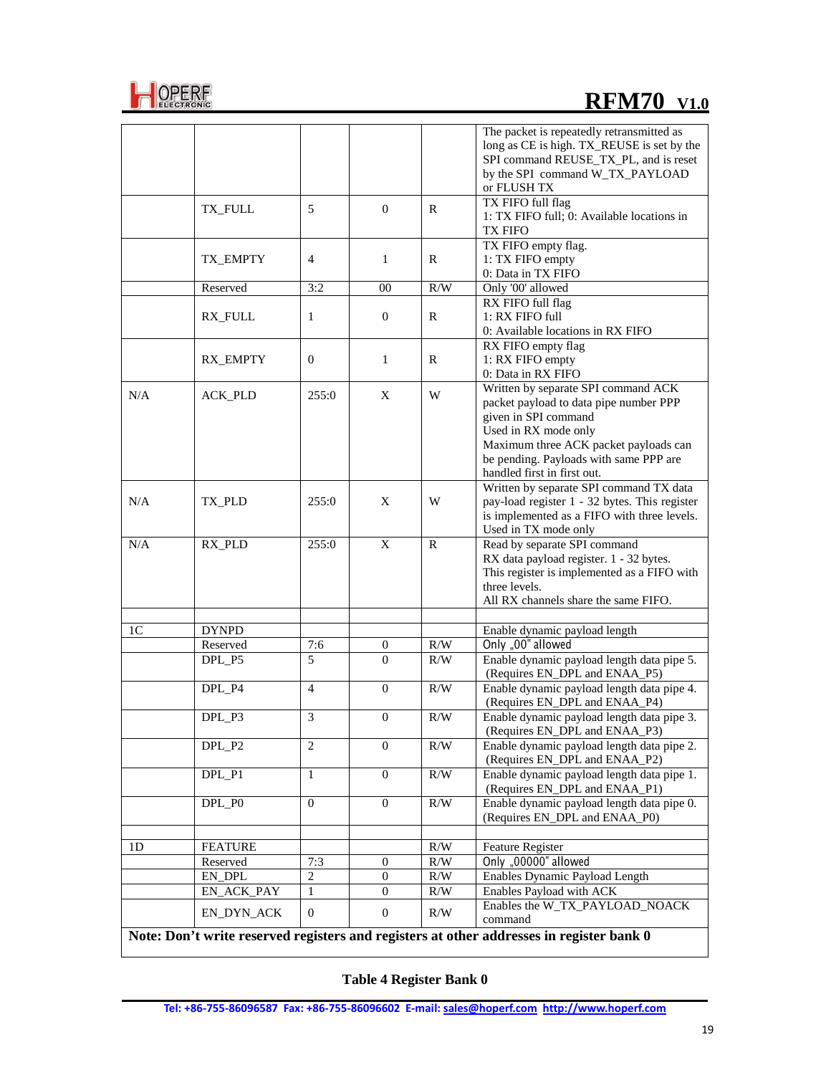

# **REM70** V1.0

|                                                                                          |                                  |                         |                  |     | The packet is repeatedly retransmitted as<br>long as CE is high. TX_REUSE is set by the<br>SPI command REUSE_TX_PL, and is reset<br>by the SPI command W_TX_PAYLOAD<br>or FLUSH TX                                                              |  |
|------------------------------------------------------------------------------------------|----------------------------------|-------------------------|------------------|-----|-------------------------------------------------------------------------------------------------------------------------------------------------------------------------------------------------------------------------------------------------|--|
|                                                                                          | TX_FULL                          | 5                       | $\mathbf{0}$     | R   | TX FIFO full flag<br>1: TX FIFO full; 0: Available locations in<br>TX FIFO                                                                                                                                                                      |  |
|                                                                                          | TX_EMPTY                         | $\overline{4}$          | 1                | R   | TX FIFO empty flag.<br>1: TX FIFO empty<br>0: Data in TX FIFO                                                                                                                                                                                   |  |
|                                                                                          | Reserved                         | 3:2                     | 00               | R/W | Only '00' allowed                                                                                                                                                                                                                               |  |
|                                                                                          | <b>RX FULL</b>                   | 1                       | $\overline{0}$   | R   | RX FIFO full flag<br>1: RX FIFO full<br>0: Available locations in RX FIFO                                                                                                                                                                       |  |
|                                                                                          | RX_EMPTY                         | $\overline{0}$          | $\mathbf{1}$     | R   | RX FIFO empty flag<br>1: RX FIFO empty<br>0: Data in RX FIFO                                                                                                                                                                                    |  |
| N/A                                                                                      | <b>ACK PLD</b>                   | 255:0                   | X                | W   | Written by separate SPI command ACK<br>packet payload to data pipe number PPP<br>given in SPI command<br>Used in RX mode only<br>Maximum three ACK packet payloads can<br>be pending. Payloads with same PPP are<br>handled first in first out. |  |
| N/A                                                                                      | TX PLD                           | 255:0                   | X                | W   | Written by separate SPI command TX data<br>pay-load register 1 - 32 bytes. This register<br>is implemented as a FIFO with three levels.<br>Used in TX mode only                                                                                 |  |
| N/A                                                                                      | RX_PLD                           | 255:0                   | X                | R   | Read by separate SPI command<br>RX data payload register. 1 - 32 bytes.<br>This register is implemented as a FIFO with<br>three levels.<br>All RX channels share the same FIFO.                                                                 |  |
| 1 <sup>C</sup>                                                                           | <b>DYNPD</b>                     |                         |                  |     | Enable dynamic payload length                                                                                                                                                                                                                   |  |
|                                                                                          | Reserved                         | 7:6                     | 0                | R/W | Only "00" allowed                                                                                                                                                                                                                               |  |
|                                                                                          | DPL P5                           | 5                       | $\Omega$         | R/W | Enable dynamic payload length data pipe 5.<br>(Requires EN_DPL and ENAA_P5)                                                                                                                                                                     |  |
|                                                                                          | DPL_P4                           | $\overline{4}$          | $\overline{0}$   | R/W | Enable dynamic payload length data pipe 4.<br>(Requires EN_DPL and ENAA_P4)                                                                                                                                                                     |  |
|                                                                                          | DPL_P3                           | $\overline{\mathbf{3}}$ | $\boldsymbol{0}$ | R/W | Enable dynamic payload length data pipe 3.<br>(Requires EN_DPL and ENAA_P3)                                                                                                                                                                     |  |
|                                                                                          | DPL_P2                           | 2                       | $\mathbf{0}$     | R/W | Enable dynamic payload length data pipe 2.<br>(Requires EN_DPL and ENAA_P2)                                                                                                                                                                     |  |
|                                                                                          | $DPL$ <sub><math>P1</math></sub> | 1                       | 0                | R/W | Enable dynamic payload length data pipe 1.<br>(Requires EN_DPL and ENAA_P1)                                                                                                                                                                     |  |
|                                                                                          | DPL_P0                           | $\overline{0}$          | $\mathbf{0}$     | R/W | Enable dynamic payload length data pipe 0.<br>(Requires EN_DPL and ENAA_P0)                                                                                                                                                                     |  |
| 1 <sub>D</sub>                                                                           | <b>FEATURE</b>                   |                         |                  | R/W | <b>Feature Register</b>                                                                                                                                                                                                                         |  |
|                                                                                          | Reserved                         | 7:3                     | $\mathbf{0}$     | R/W | Only "00000" allowed                                                                                                                                                                                                                            |  |
|                                                                                          | EN DPL                           | $\overline{c}$          | $\mathbf{0}$     | R/W | Enables Dynamic Payload Length                                                                                                                                                                                                                  |  |
|                                                                                          | EN_ACK_PAY                       | 1                       | $\mathbf{0}$     | R/W | Enables Payload with ACK                                                                                                                                                                                                                        |  |
|                                                                                          | EN_DYN_ACK                       | $\mathbf{0}$            | $\mathbf{0}$     | R/W | Enables the W_TX_PAYLOAD_NOACK<br>command                                                                                                                                                                                                       |  |
| Note: Don't write reserved registers and registers at other addresses in register bank 0 |                                  |                         |                  |     |                                                                                                                                                                                                                                                 |  |

**Table 4 Register Bank 0**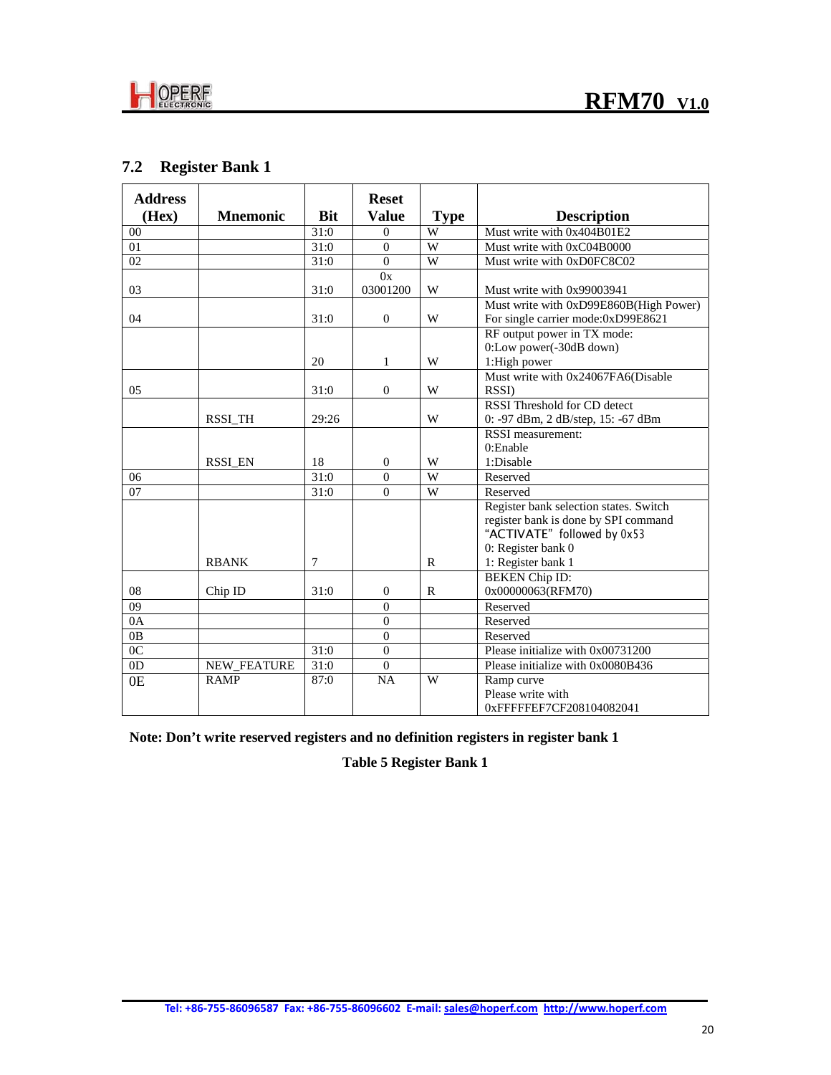

## **7.2 Register Bank 1**

| <b>Address</b> |                    |            | <b>Reset</b>   |                |                                        |
|----------------|--------------------|------------|----------------|----------------|----------------------------------------|
| (Hex)          | <b>Mnemonic</b>    | <b>Bit</b> | <b>Value</b>   | <b>Type</b>    | <b>Description</b>                     |
| 00             |                    | 31:0       | $\theta$       | W              | Must write with 0x404B01E2             |
| 01             |                    | 31:0       | $\theta$       | W              | Must write with 0xC04B0000             |
| 02             |                    | 31:0       | $\Omega$       | W              | Must write with 0xD0FC8C02             |
|                |                    |            | 0x             |                |                                        |
| 03             |                    | 31:0       | 03001200       | W              | Must write with 0x99003941             |
|                |                    |            |                |                | Must write with 0xD99E860B(High Power) |
| 04             |                    | 31:0       | $\Omega$       | W              | For single carrier mode:0xD99E8621     |
|                |                    |            |                |                | RF output power in TX mode:            |
|                |                    |            |                |                | 0:Low power(-30dB down)                |
|                |                    | 20         | $\mathbf{1}$   | W              | 1:High power                           |
|                |                    |            |                |                | Must write with 0x24067FA6(Disable     |
| 05             |                    | 31:0       | $\Omega$       | W              | <b>RSSI</b> )                          |
|                |                    |            |                |                | RSSI Threshold for CD detect           |
|                | RSSI_TH            | 29:26      |                | W              | 0: -97 dBm, 2 dB/step, 15: -67 dBm     |
|                |                    |            |                |                | RSSI measurement:                      |
|                |                    |            |                |                | $0:$ Enable                            |
|                | <b>RSSI EN</b>     | 18         | $\overline{0}$ | W              | 1:Disable                              |
| 06             |                    | 31:0       | $\theta$       | $\overline{W}$ | Reserved                               |
| 07             |                    | 31:0       | $\theta$       | W              | Reserved                               |
|                |                    |            |                |                | Register bank selection states. Switch |
|                |                    |            |                |                | register bank is done by SPI command   |
|                |                    |            |                |                | "ACTIVATE" followed by 0x53            |
|                |                    |            |                |                | 0: Register bank 0                     |
|                | <b>RBANK</b>       | 7          |                | $\mathbf R$    | 1: Register bank 1                     |
|                |                    |            |                |                | <b>BEKEN</b> Chip ID:                  |
| 08             | Chip ID            | 31:0       | $\Omega$       | $\mathbf R$    | 0x00000063(RFM70)                      |
| 09             |                    |            | $\overline{0}$ |                | Reserved                               |
| 0A             |                    |            | $\theta$       |                | Reserved                               |
| 0B             |                    |            | $\overline{0}$ |                | Reserved                               |
| 0 <sup>C</sup> |                    | 31:0       | $\Omega$       |                | Please initialize with 0x00731200      |
| 0 <sub>D</sub> | <b>NEW FEATURE</b> | 31:0       | $\Omega$       |                | Please initialize with 0x0080B436      |
| 0E             | <b>RAMP</b>        | 87:0       | <b>NA</b>      | W              | Ramp curve                             |
|                |                    |            |                |                | Please write with                      |
|                |                    |            |                |                | 0xFFFFFEF7CF208104082041               |

**Note: Don't write reserved registers and no definition registers in register bank 1**

**Table 5 Register Bank 1**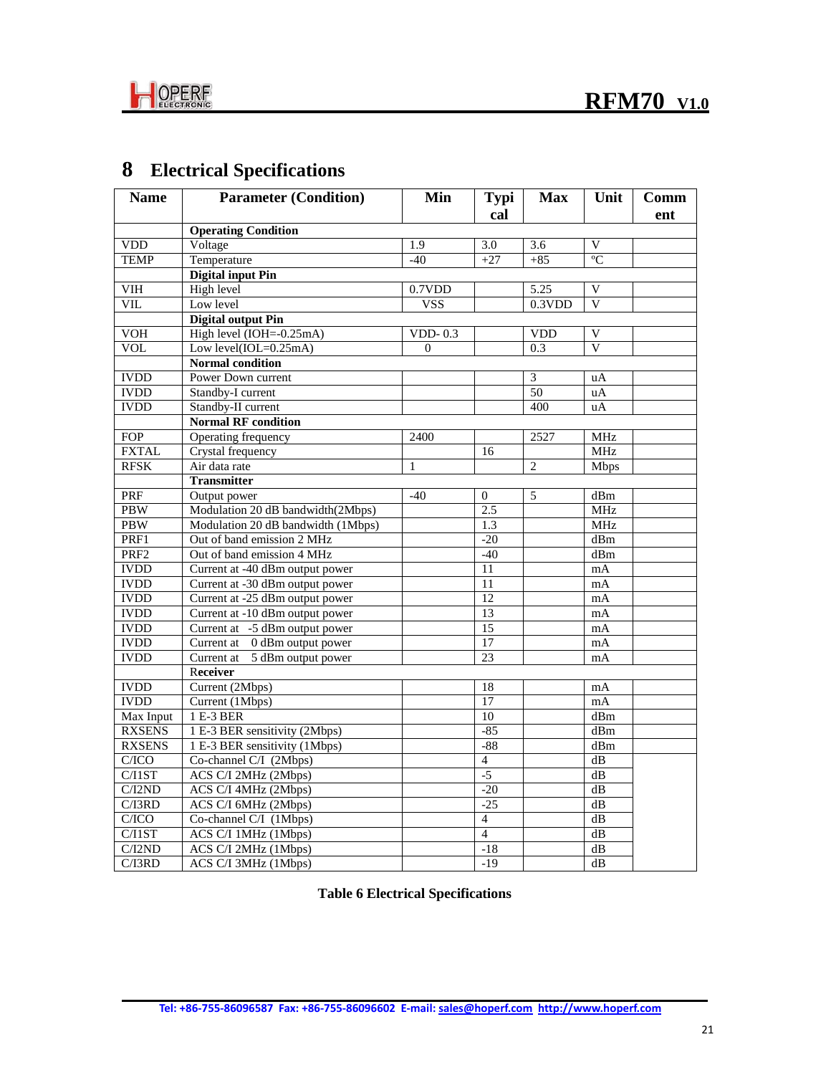

# **8 Electrical Specifications**

| <b>Name</b>             | <b>Parameter (Condition)</b>       | Min          | <b>Typi</b>      | <b>Max</b>     | Unit                    | Comm |
|-------------------------|------------------------------------|--------------|------------------|----------------|-------------------------|------|
|                         |                                    |              | cal              |                |                         | ent  |
|                         | <b>Operating Condition</b>         |              |                  |                |                         |      |
| <b>VDD</b>              | Voltage                            | 1.9          | $\overline{3.0}$ | 3.6            | V                       |      |
| <b>TEMP</b>             | Temperature                        | $-40$        | $+27$            | $+85$          | $\overline{C}$          |      |
|                         | <b>Digital input Pin</b>           |              |                  |                |                         |      |
| $\overline{\text{VIH}}$ | High level                         | 0.7VDD       |                  | 5.25           | V                       |      |
| VII.                    | Low level                          | <b>VSS</b>   |                  | 0.3VDD         | $\overline{\mathbf{V}}$ |      |
|                         | <b>Digital output Pin</b>          |              |                  |                |                         |      |
| VOH                     | High level (IOH=-0.25mA)           | $VDD-0.3$    |                  | <b>VDD</b>     | V                       |      |
| <b>VOL</b>              | Low level(IOL=0.25mA)              | $\Omega$     |                  | 0.3            | $\overline{V}$          |      |
|                         | <b>Normal condition</b>            |              |                  |                |                         |      |
| <b>IVDD</b>             | Power Down current                 |              |                  | 3              | uA                      |      |
| <b>IVDD</b>             | Standby-I current                  |              |                  | 50             | uA                      |      |
| <b>IVDD</b>             | Standby-II current                 |              |                  | 400            | uA                      |      |
|                         | <b>Normal RF condition</b>         |              |                  |                |                         |      |
| <b>FOP</b>              | Operating frequency                | 2400         |                  | 2527           | <b>MHz</b>              |      |
| <b>FXTAL</b>            | Crystal frequency                  |              | 16               |                | <b>MHz</b>              |      |
| <b>RFSK</b>             | Air data rate                      | $\mathbf{1}$ |                  | $\overline{2}$ | <b>Mbps</b>             |      |
|                         | <b>Transmitter</b>                 |              |                  |                |                         |      |
| PRF                     | Output power                       | $-40$        | $\mathbf{0}$     | 5              | dBm                     |      |
| <b>PBW</b>              | Modulation 20 dB bandwidth(2Mbps)  |              | 2.5              |                | <b>MHz</b>              |      |
| <b>PBW</b>              | Modulation 20 dB bandwidth (1Mbps) |              | 1.3              |                | <b>MHz</b>              |      |
| PRF1                    | Out of band emission 2 MHz         |              | $-20$            |                | dBm                     |      |
| PRF <sub>2</sub>        | Out of band emission 4 MHz         |              | $-40$            |                | dBm                     |      |
| <b>IVDD</b>             | Current at -40 dBm output power    |              | 11               |                | mA                      |      |
| <b>IVDD</b>             | Current at -30 dBm output power    |              | 11               |                | mA                      |      |
| <b>IVDD</b>             | Current at -25 dBm output power    |              | 12               |                | mA                      |      |
| <b>IVDD</b>             | Current at -10 dBm output power    |              | $\overline{13}$  |                | mA                      |      |
| <b>IVDD</b>             | Current at -5 dBm output power     |              | 15               |                | mA                      |      |
| <b>IVDD</b>             | Current at 0 dBm output power      |              | 17               |                | mA                      |      |
| <b>IVDD</b>             | Current at 5 dBm output power      |              | 23               |                | mA                      |      |
|                         | Receiver                           |              |                  |                |                         |      |
| <b>IVDD</b>             | Current (2Mbps)                    |              | 18               |                | mA                      |      |
| <b>IVDD</b>             | Current (1Mbps)                    |              | $\overline{17}$  |                | mA                      |      |
| Max Input               | 1 E-3 BER                          |              | 10               |                | dBm                     |      |
| <b>RXSENS</b>           | 1 E-3 BER sensitivity (2Mbps)      |              | $-85$            |                | dBm                     |      |
| <b>RXSENS</b>           | 1 E-3 BER sensitivity (1Mbps)      |              | $-88$            |                | $\overline{dBm}$        |      |
| C/ICO                   | Co-channel C/I (2Mbps)             |              | $\overline{4}$   |                | dB                      |      |
| C/IIST                  | ACS C/I 2MHz (2Mbps)               |              | $-5$             |                | dB                      |      |
| C/I2ND                  | ACS C/I 4MHz (2Mbps)               |              | $-20$            |                | dB                      |      |
| C/IBRD                  | ACS C/I 6MHz (2Mbps)               |              | $-25$            |                | dB                      |      |
| C/ICO                   | Co-channel C/I (1Mbps)             |              | $\overline{4}$   |                | dB                      |      |
| C/IIST                  | ACS C/I 1MHz (1Mbps)               |              | $\overline{4}$   |                | dB                      |      |
| C/I2ND                  | ACS C/I 2MHz (1Mbps)               |              | $-18$            |                | $\overline{dB}$         |      |
| C/I3RD                  | ACS C/I 3MHz (1Mbps)               |              | $-19$            |                | dB                      |      |

**Table 6 Electrical Specifications**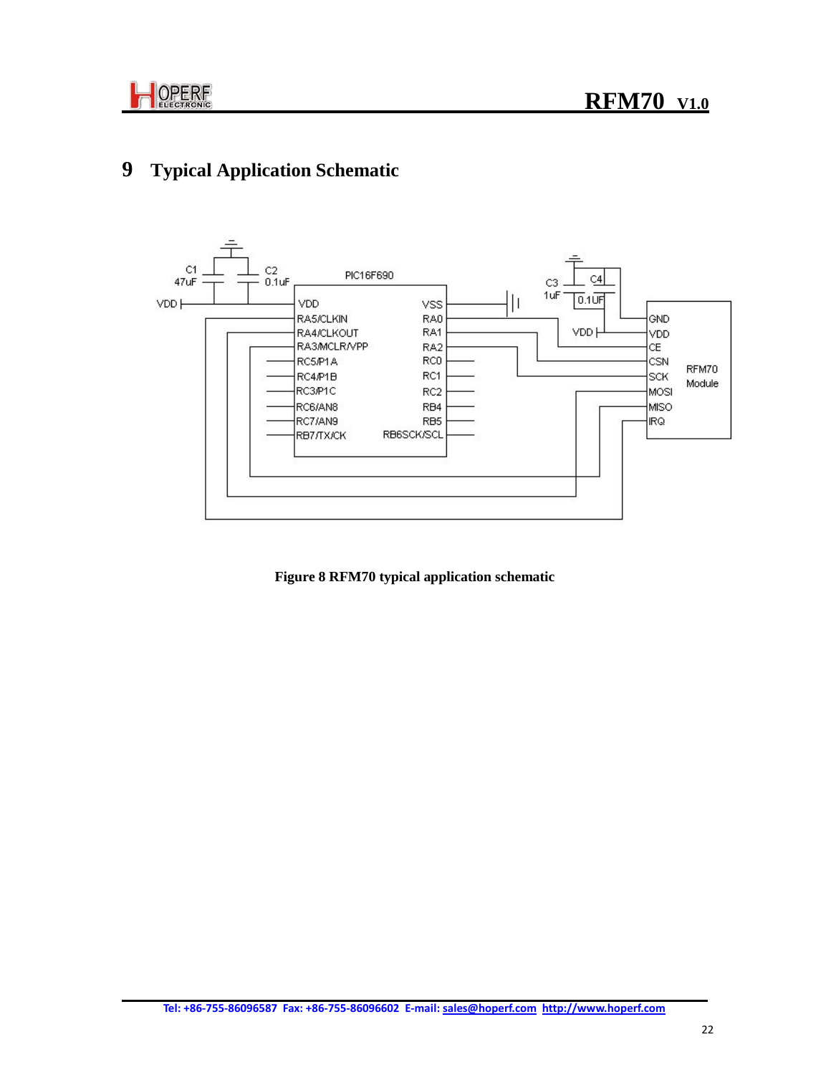

# **9 Typical Application Schematic**



 **Figure 8 RFM70 typical application schematic**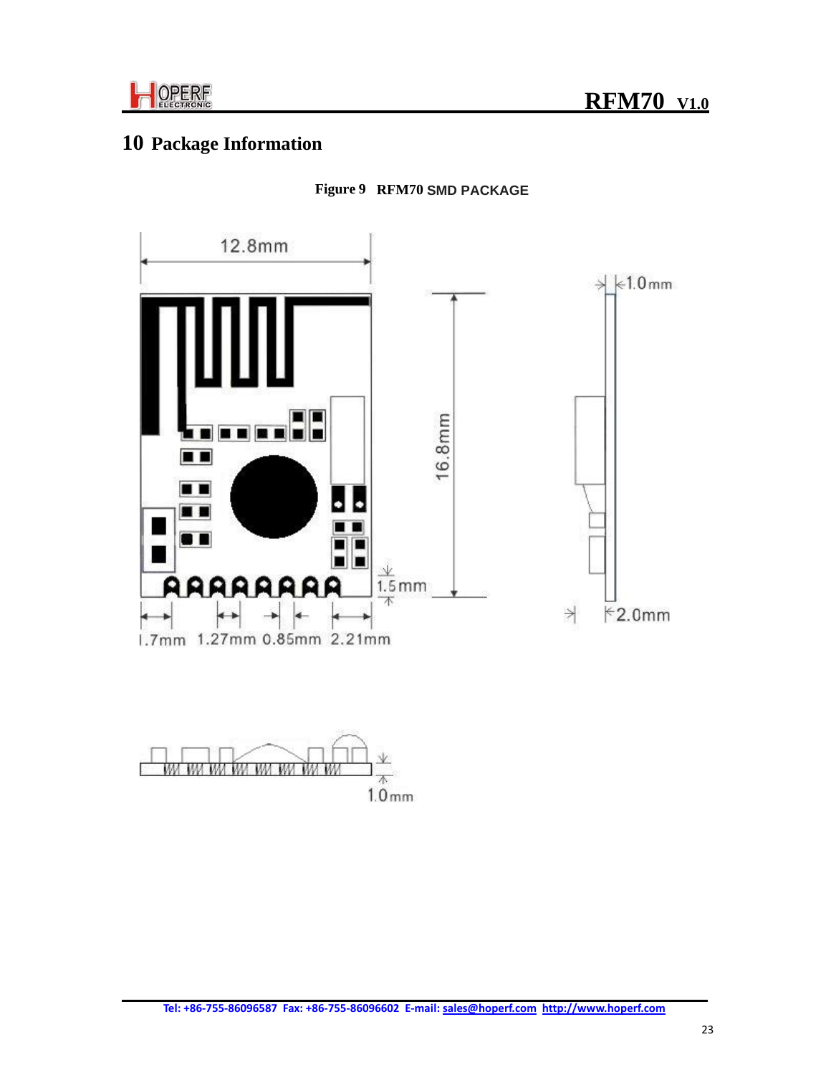

# **10 Package Information**



## **Figure 9 RFM70 SMD PACKAGE**

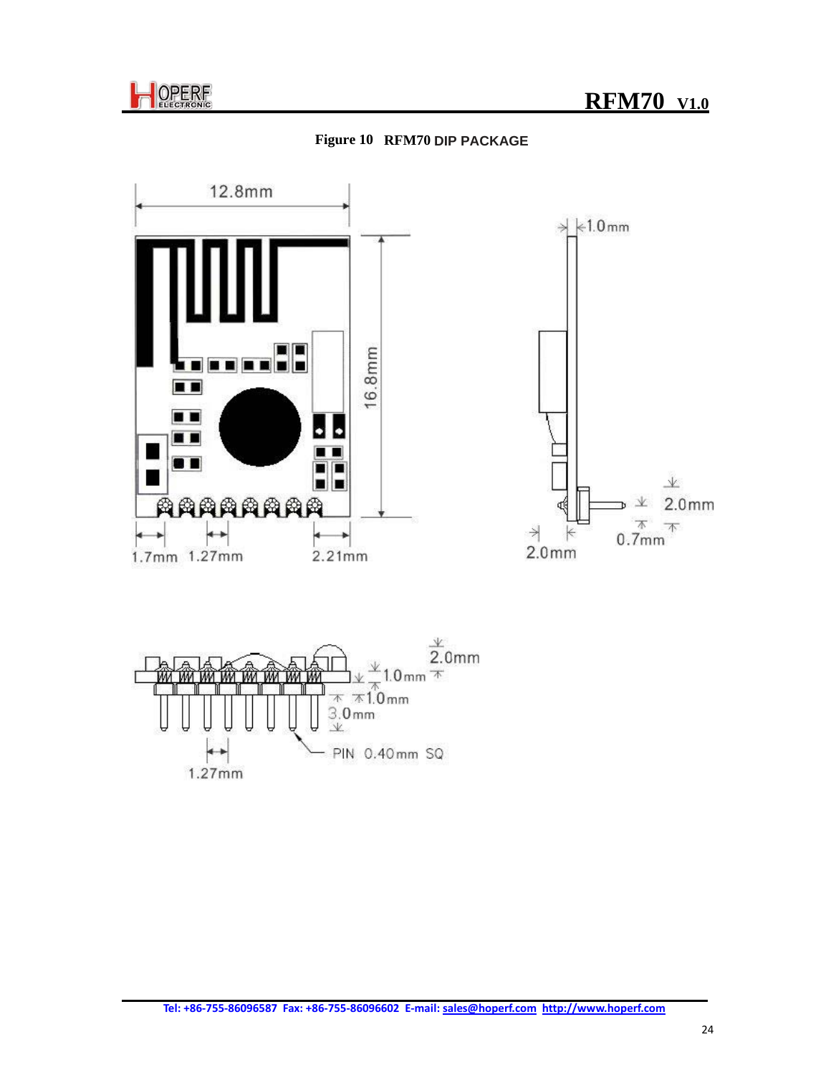





 $3.0<sub>mm</sub>$  $\vee$ PIN 0.40mm SQ  $1.27mm$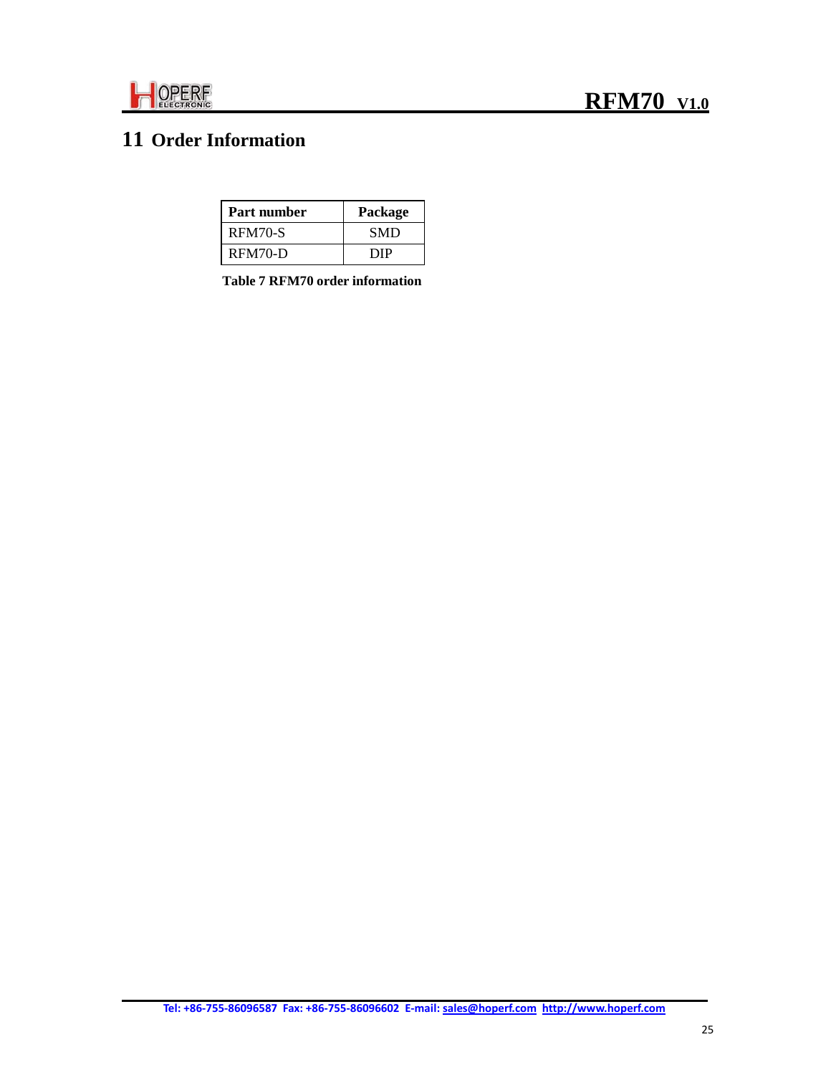

# **11 Order Information**

| Part number | Package    |
|-------------|------------|
| RFM70-S     | <b>SMD</b> |
| $RFM70-D$   | DIP        |

**Table 7 RFM70 order information**